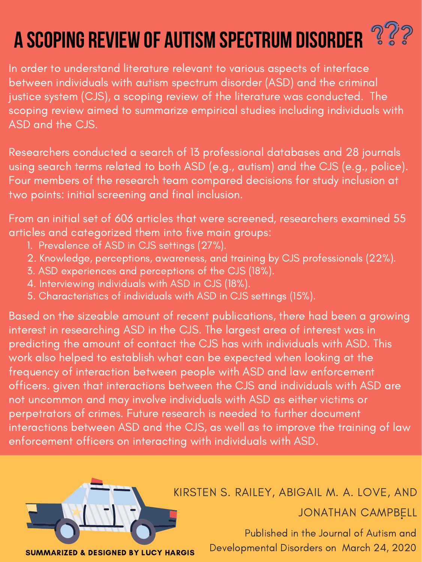Based on the sizeable amount of recent publications, there had been a growing interest in researching ASD in the CJS. The largest area of interest was in predicting the amount of contact the CJS has with individuals with ASD. This work also helped to establish what can be expected when looking at the frequency of interaction between people with ASD and law enforcement officers. given that interactions between the CJS and individuals with ASD are not uncommon and may involve individuals with ASD as either victims or perpetrators of crimes. Future research is needed to further document interactions between ASD and the CJS, as well as to improve the training of law enforcement officers on interacting with individuals with ASD.

# A SCOPING REVIEW OF AUTISM SPECTRUM DISORDER  $\frac{1}{2}$

In order to understand literature relevant to various aspects of interface between individuals with autism spectrum disorder (ASD) and the criminal justice system (CJS), a scoping review of the literature was conducted. The scoping review aimed to summarize empirical studies including individuals with ASD and the CJS.

Researchers conducted a search of 13 professional databases and 28 journals using search terms related to both ASD (e.g., autism) and the CJS (e.g., police). Four members of the research team compared decisions for study inclusion at two points: initial screening and final inclusion.

From an initial set of 606 articles that were screened, researchers examined 55 articles and categorized them into five main groups:

- 1. Prevalence of ASD in CJS settings (27%).
- 2. Knowledge, perceptions, awareness, and training by CJS professionals (22%).
- 3. ASD experiences and perceptions of the CJS (18%).
- 4. Interviewing individuals with ASD in CJS (18%).
- 

5. Characteristics of individuals with ASD in CJS settings (15%).

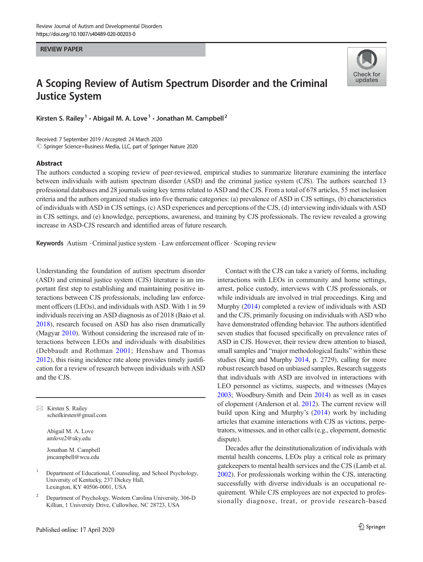#### **REVIEW PAPER** REVIEW PAPER



## A Scoping Review of Autism Spectrum Disorder and the Criminal Justice System

Kirsten S. Railey<sup>1</sup> · Abigail M. A. Love<sup>1</sup> · Jonathan M. Campbell<sup>2</sup>

Received: 7 September 2019 /Accepted: 24 March 2020  $\oslash$  Springer Science+Business Media, LLC, part of Springer Nature 2020

#### Abstract

The authors conducted a scoping review of peer-reviewed, empirical studies to summarize literature examining the interface between individuals with autism spectrum disorder (ASD) and the criminal justice system (CJS). The authors searched 13 professional databases and 28 journals using key terms related to ASD and the CJS. From a total of 678 articles, 55 met inclusion criteria and the authors organized studies into five thematic categories: (a) prevalence of ASD in CJS settings, (b) characteristics of individuals with ASD in CJS settings, (c) ASD experiences and perceptions of the CJS, (d) interviewing individuals with ASD in CJS settings, and (e) knowledge, perceptions, awareness, and training by CJS professionals. The review revealed a growing increase in ASD-CJS research and identified areas of future research.

Keywords Autism . Criminal justice system . Law enforcement officer . Scoping review

Understanding the foundation of autism spectrum disorder (ASD) and criminal justice system (CJS) literature is an important first step to establishing and maintaining positive interactions between CJS professionals, including law enforcement officers (LEOs), and individuals with ASD. With 1 in 59 individuals receiving an ASD diagnosis as of 2018 (Baio et al. [2018\)](#page-25-0), research focused on ASD has also risen dramatically (Magyar [2010\)](#page-26-0). Without considering the increased rate of interactions between LEOs and individuals with disabilities (Debbaudt and Rothman [2001;](#page-26-0) Henshaw and Thomas [2012\)](#page-26-0), this rising incidence rate alone provides timely justification for a review of research between individuals with ASD and the CJS.

 $\boxtimes$  Kirsten S. Railey [scheilkirsten@gmail.com](mailto:scheilkirsten@gmail.com)

> Abigail M. A. Love amlove2@uky.edu

Jonathan M. Campbell jmcampbell@wcu.edu

<sup>1</sup> Department of Educational, Counseling, and School Psychology, University of Kentucky, 237 Dickey Hall, Lexington, KY 40506-0001, USA

<sup>2</sup> Department of Psychology, Western Carolina University, 306-D Killian, 1 University Drive, Cullowhee, NC 28723, USA

Contact with the CJS can take a variety of forms, including interactions with LEOs in community and home settings, arrest, police custody, interviews with CJS professionals, or while individuals are involved in trial proceedings. King and Murphy ([2014](#page-26-0)) completed a review of individuals with ASD and the CJS, primarily focusing on individuals with ASD who have demonstrated offending behavior. The authors identified seven studies that focused specifically on prevalence rates of ASD in CJS. However, their review drew attention to biased, small samples and "major methodological faults" within these studies (King and Murphy [2014,](#page-26-0) p. 2729), calling for more robust research based on unbiased samples. Research suggests that individuals with ASD are involved in interactions with LEO personnel as victims, suspects, and witnesses (Mayes [2003;](#page-26-0) Woodbury-Smith and Dein [2014\)](#page-27-0) as well as in cases of elopement (Anderson et al. [2012](#page-25-0)). The current review will build upon King and Murphy's ([2014\)](#page-26-0) work by including articles that examine interactions with CJS as victims, perpetrators, witnesses, and in other calls (e.g., elopement, domestic dispute).

Decades after the deinstitutionalization of individuals with mental health concerns, LEOs play a critical role as primary gatekeepers to mental health services and the CJS (Lamb et al. [2002\)](#page-26-0). For professionals working within the CJS, interacting successfully with diverse individuals is an occupational requirement. While CJS employees are not expected to professionally diagnose, treat, or provide research-based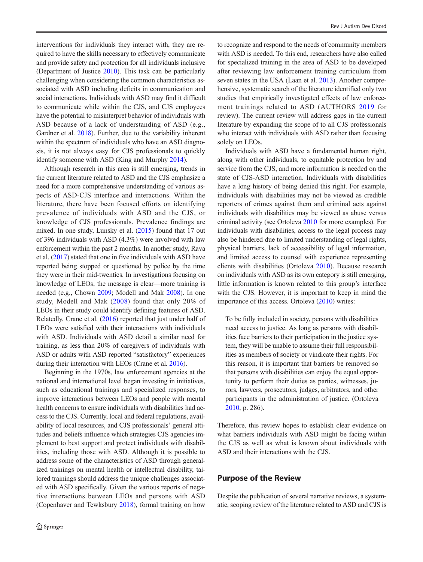interventions for individuals they interact with, they are required to have the skills necessary to effectively communicate and provide safety and protection for all individuals inclusive (Department of Justice [2010](#page-26-0)). This task can be particularly challenging when considering the common characteristics associated with ASD including deficits in communication and social interactions. Individuals with ASD may find it difficult to communicate while within the CJS, and CJS employees have the potential to misinterpret behavior of individuals with ASD because of a lack of understanding of ASD (e.g., Gardner et al. [2018\)](#page-26-0). Further, due to the variability inherent within the spectrum of individuals who have an ASD diagnosis, it is not always easy for CJS professionals to quickly identify someone with ASD (King and Murphy [2014\)](#page-26-0).

Although research in this area is still emerging, trends in the current literature related to ASD and the CJS emphasize a need for a more comprehensive understanding of various aspects of ASD-CJS interface and interactions. Within the literature, there have been focused efforts on identifying prevalence of individuals with ASD and the CJS, or knowledge of CJS professionals. Prevalence findings are mixed. In one study, Lunsky et al. [\(2015\)](#page-26-0) found that 17 out of 396 individuals with ASD (4.3%) were involved with law enforcement within the past 2 months. In another study, Rava et al. ([2017](#page-27-0)) stated that one in five individuals with ASD have reported being stopped or questioned by police by the time they were in their mid-twenties. In investigations focusing on knowledge of LEOs, the message is clear—more training is needed (e.g., Chown [2009](#page-25-0); Modell and Mak [2008](#page-27-0)). In one study, Modell and Mak ([2008\)](#page-27-0) found that only 20% of LEOs in their study could identify defining features of ASD. Relatedly, Crane et al. ([2016](#page-25-0)) reported that just under half of LEOs were satisfied with their interactions with individuals with ASD. Individuals with ASD detail a similar need for training, as less than 20% of caregivers of individuals with ASD or adults with ASD reported "satisfactory" experiences during their interaction with LEOs (Crane et al. [2016](#page-25-0)).

Beginning in the 1970s, law enforcement agencies at the national and international level began investing in initiatives, such as educational trainings and specialized responses, to improve interactions between LEOs and people with mental health concerns to ensure individuals with disabilities had access to the CJS. Currently, local and federal regulations, availability of local resources, and CJS professionals' general attitudes and beliefs influence which strategies CJS agencies implement to best support and protect individuals with disabilities, including those with ASD. Although it is possible to address some of the characteristics of ASD through generalized trainings on mental health or intellectual disability, tailored trainings should address the unique challenges associated with ASD specifically. Given the various reports of negative interactions between LEOs and persons with ASD (Copenhaver and Tewksbury [2018\)](#page-25-0), formal training on how to recognize and respond to the needs of community members with ASD is needed. To this end, researchers have also called for specialized training in the area of ASD to be developed after reviewing law enforcement training curriculum from seven states in the USA (Laan et al. [2013](#page-26-0)). Another comprehensive, systematic search of the literature identified only two studies that empirically investigated effects of law enforcement trainings related to ASD (AUTHORS [2019](#page-25-0) for review). The current review will address gaps in the current literature by expanding the scope of to all CJS professionals who interact with individuals with ASD rather than focusing solely on LEOs.

Individuals with ASD have a fundamental human right, along with other individuals, to equitable protection by and service from the CJS, and more information is needed on the state of CJS-ASD interaction. Individuals with disabilities have a long history of being denied this right. For example, individuals with disabilities may not be viewed as credible reporters of crimes against them and criminal acts against individuals with disabilities may be viewed as abuse versus criminal activity (see Ortoleva [2010](#page-27-0) for more examples). For individuals with disabilities, access to the legal process may also be hindered due to limited understanding of legal rights, physical barriers, lack of accessibility of legal information, and limited access to counsel with experience representing clients with disabilities (Ortoleva [2010](#page-27-0)). Because research on individuals with ASD as its own category is still emerging, little information is known related to this group's interface with the CJS. However, it is important to keep in mind the importance of this access. Ortoleva ([2010](#page-27-0)) writes:

To be fully included in society, persons with disabilities need access to justice. As long as persons with disabilities face barriers to their participation in the justice system, they will be unable to assume their full responsibilities as members of society or vindicate their rights. For this reason, it is important that barriers be removed so that persons with disabilities can enjoy the equal opportunity to perform their duties as parties, witnesses, jurors, lawyers, prosecutors, judges, arbitrators, and other participants in the administration of justice. (Ortoleva [2010](#page-27-0), p. 286).

Therefore, this review hopes to establish clear evidence on what barriers individuals with ASD might be facing within the CJS as well as what is known about individuals with ASD and their interactions with the CJS.

#### Purpose of the Review

Despite the publication of several narrative reviews, a systematic, scoping review of the literature related to ASD and CJS is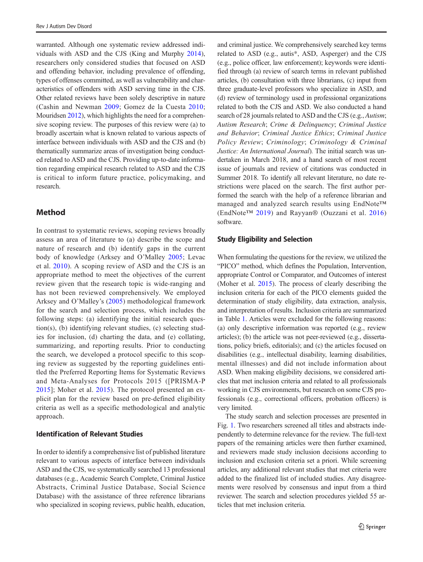warranted. Although one systematic review addressed individuals with ASD and the CJS (King and Murphy [2014](#page-26-0)), researchers only considered studies that focused on ASD and offending behavior, including prevalence of offending, types of offenses committed, as well as vulnerability and characteristics of offenders with ASD serving time in the CJS. Other related reviews have been solely descriptive in nature (Cashin and Newman [2009;](#page-25-0) Gomez de la Cuesta [2010](#page-26-0); Mouridsen [2012\)](#page-27-0), which highlights the need for a comprehensive scoping review. The purposes of this review were (a) to broadly ascertain what is known related to various aspects of interface between individuals with ASD and the CJS and (b) thematically summarize areas of investigation being conducted related to ASD and the CJS. Providing up-to-date information regarding empirical research related to ASD and the CJS is critical to inform future practice, policymaking, and research.

#### Method

In contrast to systematic reviews, scoping reviews broadly assess an area of literature to (a) describe the scope and nature of research and (b) identify gaps in the current body of knowledge (Arksey and O'Malley [2005](#page-25-0); Levac et al. [2010](#page-26-0)). A scoping review of ASD and the CJS is an appropriate method to meet the objectives of the current review given that the research topic is wide-ranging and has not been reviewed comprehensively. We employed Arksey and O'Malley's ([2005](#page-25-0)) methodological framework for the search and selection process, which includes the following steps: (a) identifying the initial research question(s), (b) identifying relevant studies, (c) selecting studies for inclusion, (d) charting the data, and (e) collating, summarizing, and reporting results. Prior to conducting the search, we developed a protocol specific to this scoping review as suggested by the reporting guidelines entitled the Preferred Reporting Items for Systematic Reviews and Meta-Analyses for Protocols 2015 ([PRISMA-P [2015](#page-27-0)]; Moher et al. [2015\)](#page-27-0). The protocol presented an explicit plan for the review based on pre-defined eligibility criteria as well as a specific methodological and analytic approach.

#### Identification of Relevant Studies

In order to identify a comprehensive list of published literature relevant to various aspects of interface between individuals ASD and the CJS, we systematically searched 13 professional databases (e.g., Academic Search Complete, Criminal Justice Abstracts, Criminal Justice Database, Social Science Database) with the assistance of three reference librarians who specialized in scoping reviews, public health, education,

and criminal justice. We comprehensively searched key terms related to ASD (e.g., autis\*, ASD, Asperger) and the CJS (e.g., police officer, law enforcement); keywords were identified through (a) review of search terms in relevant published articles, (b) consultation with three librarians, (c) input from three graduate-level professors who specialize in ASD, and (d) review of terminology used in professional organizations related to both the CJS and ASD. We also conducted a hand search of 28 journals related to ASD and the CJS (e.g., Autism; Autism Research; Crime & Delinquency; Criminal Justice and Behavior; Criminal Justice Ethics; Criminal Justice Policy Review; Criminology; Criminology & Criminal Justice: An International Journal). The initial search was undertaken in March 2018, and a hand search of most recent issue of journals and review of citations was conducted in Summer 2018. To identify all relevant literature, no date restrictions were placed on the search. The first author performed the search with the help of a reference librarian and managed and analyzed search results using EndNote™ (EndNote™ [2019\)](#page-26-0) and Rayyan® (Ouzzani et al. [2016](#page-27-0)) software.

#### Study Eligibility and Selection

When formulating the questions for the review, we utilized the "PICO" method, which defines the Population, Intervention, appropriate Control or Comparator, and Outcomes of interest (Moher et al. [2015](#page-27-0)). The process of clearly describing the inclusion criteria for each of the PICO elements guided the determination of study eligibility, data extraction, analysis, and interpretation of results. Inclusion criteria are summarized in Table [1.](#page-4-0) Articles were excluded for the following reasons: (a) only descriptive information was reported (e.g., review articles); (b) the article was not peer-reviewed (e.g., dissertations, policy briefs, editorials); and (c) the articles focused on disabilities (e.g., intellectual disability, learning disabilities, mental illnesses) and did not include information about ASD. When making eligibility decisions, we considered articles that met inclusion criteria and related to all professionals working in CJS environments, but research on some CJS professionals (e.g., correctional officers, probation officers) is very limited.

The study search and selection processes are presented in Fig. [1](#page-4-0). Two researchers screened all titles and abstracts independently to determine relevance for the review. The full-text papers of the remaining articles were then further examined, and reviewers made study inclusion decisions according to inclusion and exclusion criteria set a priori. While screening articles, any additional relevant studies that met criteria were added to the finalized list of included studies. Any disagreements were resolved by consensus and input from a third reviewer. The search and selection procedures yielded 55 articles that met inclusion criteria.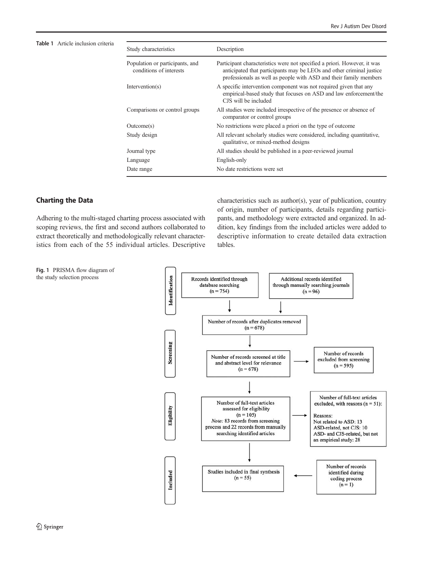#### <span id="page-4-0"></span>Table 1 Article inclusion criteria

| Study characteristics                                      | Description                                                                                                                                                                                                           |
|------------------------------------------------------------|-----------------------------------------------------------------------------------------------------------------------------------------------------------------------------------------------------------------------|
| Population or participants, and<br>conditions of interests | Participant characteristics were not specified a priori. However, it was<br>anticipated that participants may be LEOs and other criminal justice<br>professionals as well as people with ASD and their family members |
| Intervention(s)                                            | A specific intervention component was not required given that any<br>empirical-based study that focuses on ASD and law enforcement/the<br>CJS will be included                                                        |
| Comparisons or control groups                              | All studies were included irrespective of the presence or absence of<br>comparator or control groups                                                                                                                  |
| Outcome(s)                                                 | No restrictions were placed a priori on the type of outcome                                                                                                                                                           |
| Study design                                               | All relevant scholarly studies were considered, including quantitative,<br>qualitative, or mixed-method designs                                                                                                       |
| Journal type                                               | All studies should be published in a peer-reviewed journal                                                                                                                                                            |
| Language                                                   | English-only                                                                                                                                                                                                          |
| Date range                                                 | No date restrictions were set                                                                                                                                                                                         |

#### Charting the Data

Adhering to the multi-staged charting process associated with scoping reviews, the first and second authors collaborated to extract theoretically and methodologically relevant characteristics from each of the 55 individual articles. Descriptive characteristics such as author(s), year of publication, country of origin, number of participants, details regarding participants, and methodology were extracted and organized. In addition, key findings from the included articles were added to descriptive information to create detailed data extraction tables.

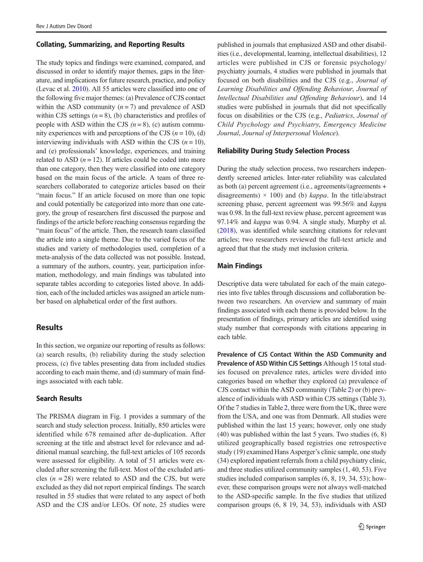#### Collating, Summarizing, and Reporting Results

The study topics and findings were examined, compared, and discussed in order to identify major themes, gaps in the literature, and implications for future research, practice, and policy (Levac et al. [2010](#page-26-0)). All 55 articles were classified into one of the following five major themes: (a) Prevalence of CJS contact within the ASD community  $(n = 7)$  and prevalence of ASD within CJS settings  $(n = 8)$ , (b) characteristics and profiles of people with ASD within the CJS  $(n = 8)$ , (c) autism community experiences with and perceptions of the CJS  $(n = 10)$ , (d) interviewing individuals with ASD within the CJS  $(n = 10)$ , and (e) professionals' knowledge, experiences, and training related to ASD  $(n = 12)$ . If articles could be coded into more than one category, then they were classified into one category based on the main focus of the article. A team of three researchers collaborated to categorize articles based on their "main focus." If an article focused on more than one topic and could potentially be categorized into more than one category, the group of researchers first discussed the purpose and findings of the article before reaching consensus regarding the "main focus" of the article. Then, the research team classified the article into a single theme. Due to the varied focus of the studies and variety of methodologies used, completion of a meta-analysis of the data collected was not possible. Instead, a summary of the authors, country, year, participation information, methodology, and main findings was tabulated into separate tables according to categories listed above. In addition, each of the included articles was assigned an article number based on alphabetical order of the first authors.

#### **Results**

In this section, we organize our reporting of results as follows: (a) search results, (b) reliability during the study selection process, (c) five tables presenting data from included studies according to each main theme, and (d) summary of main findings associated with each table.

#### Search Results

The PRISMA diagram in Fig. [1](#page-4-0) provides a summary of the search and study selection process. Initially, 850 articles were identified while 678 remained after de-duplication. After screening at the title and abstract level for relevance and additional manual searching, the full-text articles of 105 records were assessed for eligibility. A total of 51 articles were excluded after screening the full-text. Most of the excluded articles  $(n = 28)$  were related to ASD and the CJS, but were excluded as they did not report empirical findings. The search resulted in 55 studies that were related to any aspect of both ASD and the CJS and/or LEOs. Of note, 25 studies were

published in journals that emphasized ASD and other disabilities (i.e., developmental, learning, intellectual disabilities), 12 articles were published in CJS or forensic psychology/ psychiatry journals, 4 studies were published in journals that focused on both disabilities and the CJS (e.g., Journal of Learning Disabilities and Offending Behaviour, Journal of Intellectual Disabilities and Offending Behaviour), and 14 studies were published in journals that did not specifically focus on disabilities or the CJS (e.g., Pediatrics, Journal of Child Psychology and Psychiatry, Emergency Medicine Journal, Journal of Interpersonal Violence).

#### Reliability During Study Selection Process

During the study selection process, two researchers independently screened articles. Inter-rater reliability was calculated as both (a) percent agreement (i.e., agreements/(agreements + disagreements)  $\times$  100) and (b) *kappa*. In the title/abstract screening phase, percent agreement was 99.56% and kappa was 0.98. In the full-text review phase, percent agreement was 97.14% and kappa was 0.94. A single study, Murphy et al. [\(2018\)](#page-27-0), was identified while searching citations for relevant articles; two researchers reviewed the full-text article and agreed that that the study met inclusion criteria.

#### Main Findings

Descriptive data were tabulated for each of the main categories into five tables through discussions and collaboration between two researchers. An overview and summary of main findings associated with each theme is provided below. In the presentation of findings, primary articles are identified using study number that corresponds with citations appearing in each table.

Prevalence of CJS Contact Within the ASD Community and Prevalence of ASD Within CJS Settings Although 15 total studies focused on prevalence rates, articles were divided into categories based on whether they explored (a) prevalence of CJS contact within the ASD community (Table [2\)](#page-6-0) or (b) prevalence of individuals with ASD within CJS settings (Table [3\)](#page-8-0). Of the 7 studies in Table [2](#page-6-0), three were from the UK, three were from the USA, and one was from Denmark. All studies were published within the last 15 years; however, only one study (40) was published within the last 5 years. Two studies (6, 8) utilized geographically based registries one retrospective study (19) examined Hans Asperger's clinic sample, one study (34) explored inpatient referrals from a child psychiatry clinic, and three studies utilized community samples (1, 40, 53). Five studies included comparison samples (6, 8, 19, 34, 53); however, these comparison groups were not always well-matched to the ASD-specific sample. In the five studies that utilized comparison groups (6, 8 19, 34, 53), individuals with ASD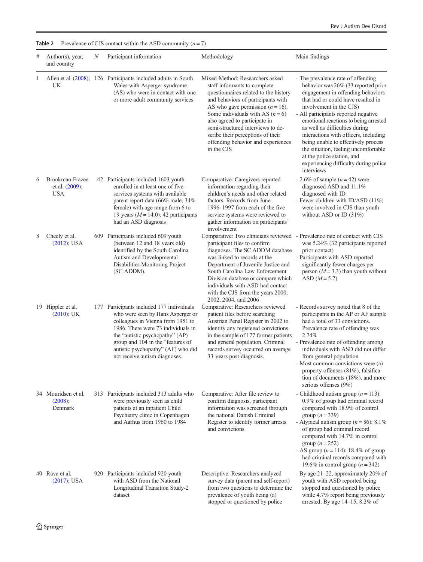| # | Author(s), year,<br>and country                 | N | Participant information                                                                                                                                                                                                                                                                                  | Methodology                                                                                                                                                                                                                                                                                                                                                                                  | Main findings                                                                                                                                                                                                                                                                                                                                                                                                                                                                                                   |
|---|-------------------------------------------------|---|----------------------------------------------------------------------------------------------------------------------------------------------------------------------------------------------------------------------------------------------------------------------------------------------------------|----------------------------------------------------------------------------------------------------------------------------------------------------------------------------------------------------------------------------------------------------------------------------------------------------------------------------------------------------------------------------------------------|-----------------------------------------------------------------------------------------------------------------------------------------------------------------------------------------------------------------------------------------------------------------------------------------------------------------------------------------------------------------------------------------------------------------------------------------------------------------------------------------------------------------|
| 1 | UK                                              |   | Allen et al. (2008); 126 Participants included adults in South<br>Wales with Asperger syndrome<br>(AS) who were in contact with one<br>or more adult community services                                                                                                                                  | Mixed-Method: Researchers asked<br>staff informants to complete<br>questionnaires related to the history<br>and behaviors of participants with<br>AS who gave permission $(n = 16)$ .<br>Some individuals with AS $(n=6)$<br>also agreed to participate in<br>semi-structured interviews to de-<br>scribe their perceptions of their<br>offending behavior and experiences<br>in the CJS     | - The prevalence rate of offending<br>behavior was 26% (33 reported prior<br>engagement in offending behaviors<br>that had or could have resulted in<br>involvement in the CJS)<br>- All participants reported negative<br>emotional reactions to being arrested<br>as well as difficulties during<br>interactions with officers, including<br>being unable to effectively process<br>the situation, feeling uncomfortable<br>at the police station, and<br>experiencing difficulty during police<br>interviews |
| 6 | Brookman-Frazee<br>et al. (2009);<br><b>USA</b> |   | 42 Participants included 1603 youth<br>enrolled in at least one of five<br>services systems with available<br>parent report data (66% male; 34%<br>female) with age range from 6 to<br>19 years ( $M = 14.0$ ). 42 participants<br>had an ASD diagnosis                                                  | Comparative: Caregivers reported<br>information regarding their<br>children's needs and other related<br>factors. Records from June<br>1996–1997 from each of the five<br>service systems were reviewed to<br>gather information on participants'<br>involvement                                                                                                                             | $-2.6\%$ of sample $(n=42)$ were<br>diagnosed ASD and 11.1%<br>diagnosed with ID<br>- Fewer children with ID/ASD (11%)<br>were involved in CJS than youth<br>without ASD or ID $(31\%)$                                                                                                                                                                                                                                                                                                                         |
| 8 | Cheely et al.<br>$(2012)$ ; USA                 |   | 609 Participants included 609 youth<br>(between 12 and 18 years old)<br>identified by the South Carolina<br>Autism and Developmental<br>Disabilities Monitoring Project<br>(SC ADDM).                                                                                                                    | Comparative: Two clinicians reviewed - Prevalence rate of contact with CJS<br>participant files to confirm<br>diagnoses. The SC ADDM database<br>was linked to records at the<br>Department of Juvenile Justice and<br>South Carolina Law Enforcement<br>Division database or compare which<br>individuals with ASD had contact<br>with the CJS from the years 2000,<br>2002, 2004, and 2006 | was 5.24% (32 participants reported<br>prior contact)<br>- Participants with ASD reported<br>significantly fewer charges per<br>person ( $M = 3.3$ ) than youth without<br>ASD $(M = 5.7)$                                                                                                                                                                                                                                                                                                                      |
|   | 19 Hippler et al.<br>$(2010)$ ; UK              |   | 177 Participants included 177 individuals<br>who were seen by Hans Asperger or<br>colleagues in Vienna from 1951 to<br>1986. There were 73 individuals in<br>the "autistic psychopathy" (AP)<br>group and 104 in the "features of<br>autistic psychopathy" (AF) who did<br>not receive autism diagnoses. | Comparative: Researchers reviewed<br>patient files before searching<br>Austrian Penal Register in 2002 to<br>identify any registered convictions<br>in the sample of 177 former patients<br>and general population. Criminal<br>records survey occurred on average<br>33 years post-diagnosis.                                                                                               | - Records survey noted that 8 of the<br>participants in the AP or AF sample<br>had a total of 33 convictions.<br>Prevalence rate of offending was<br>2.74%<br>- Prevalence rate of offending among<br>individuals with ASD did not differ<br>from general population<br>- Most common convictions were (a)<br>property offenses (81%), falsifica-<br>tion of documents (18%), and more<br>serious offenses $(9\%)$                                                                                              |
|   | 34 Mouridsen et al.<br>(2008);<br>Denmark       |   | 313 Participants included 313 adults who<br>were previously seen as child<br>patients at an inpatient Child<br>Psychiatry clinic in Copenhagen<br>and Aarhus from 1960 to 1984                                                                                                                           | Comparative: After file review to<br>confirm diagnosis, participant<br>information was screened through<br>the national Danish Criminal<br>Register to identify former arrests<br>and convictions                                                                                                                                                                                            | - Childhood autism group ( $n = 113$ ):<br>0.9% of group had criminal record<br>compared with 18.9% of control<br>group $(n = 339)$<br>- Atypical autism group ( $n = 86$ ): 8.1%<br>of group had criminal record<br>compared with 14.7% in control<br>group $(n = 252)$<br>- AS group ( $n = 114$ ): 18.4% of group<br>had criminal records compared with<br>19.6% in control group ( $n = 342$ )                                                                                                              |
|   | 40 Rava et al.<br>$(2017)$ ; USA                |   | 920 Participants included 920 youth<br>with ASD from the National<br>Longitudinal Transition Study-2<br>dataset                                                                                                                                                                                          | Descriptive: Researchers analyzed<br>survey data (parent and self-report)<br>from two questions to determine the<br>prevalence of youth being (a)<br>stopped or questioned by police                                                                                                                                                                                                         | - By age 21-22, approximately 20% of<br>youth with ASD reported being<br>stopped and questioned by police<br>while 4.7% report being previously<br>arrested. By age $14-15$ , $8.2\%$ of                                                                                                                                                                                                                                                                                                                        |

### <span id="page-6-0"></span>**Table 2** Prevalence of CJS contact within the ASD community  $(n = 7)$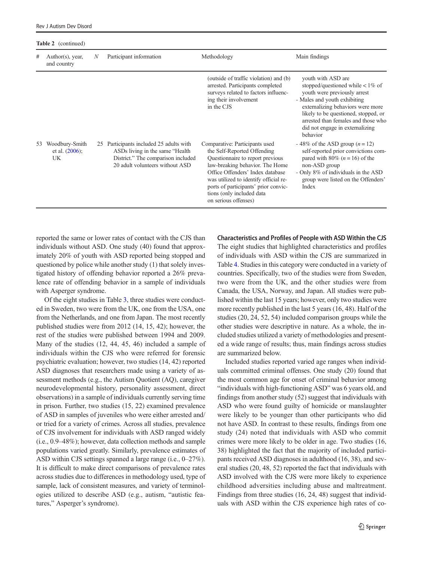#### Table 2 (continued)

| #  | Author(s), year,<br>and country            | N  | Participant information                                                                                                                           | Methodology                                                                                                                                                                                                                                                                                                    | Main findings                                                                                                                                                                                                                                                                                  |
|----|--------------------------------------------|----|---------------------------------------------------------------------------------------------------------------------------------------------------|----------------------------------------------------------------------------------------------------------------------------------------------------------------------------------------------------------------------------------------------------------------------------------------------------------------|------------------------------------------------------------------------------------------------------------------------------------------------------------------------------------------------------------------------------------------------------------------------------------------------|
|    |                                            |    |                                                                                                                                                   | (outside of traffic violation) and (b)<br>arrested. Participants completed<br>surveys related to factors influenc-<br>ing their involvement<br>in the CJS                                                                                                                                                      | youth with ASD are<br>stopped/questioned while $\lt 1\%$ of<br>youth were previously arrest<br>- Males and youth exhibiting<br>externalizing behaviors were more<br>likely to be questioned, stopped, or<br>arrested than females and those who<br>did not engage in externalizing<br>behavior |
| 53 | Woodbury-Smith<br>et al. $(2006)$ ;<br>UK. | 25 | Participants included 25 adults with<br>ASDs living in the same "Health"<br>District." The comparison included<br>20 adult volunteers without ASD | Comparative: Participants used<br>the Self-Reported Offending<br>Questionnaire to report previous<br>law-breaking behavior. The Home<br>Office Offenders' Index database<br>was utilized to identify official re-<br>ports of participants' prior convic-<br>tions (only included data<br>on serious offenses) | $-48\%$ of the ASD group $(n=12)$<br>self-reported prior convictions com-<br>pared with 80% ( $n = 16$ ) of the<br>non-ASD group<br>- Only 8% of individuals in the ASD<br>group were listed on the Offenders'<br>Index                                                                        |

reported the same or lower rates of contact with the CJS than individuals without ASD. One study (40) found that approximately 20% of youth with ASD reported being stopped and questioned by police while another study (1) that solely investigated history of offending behavior reported a 26% prevalence rate of offending behavior in a sample of individuals with Asperger syndrome.

Of the eight studies in Table [3,](#page-8-0) three studies were conducted in Sweden, two were from the UK, one from the USA, one from the Netherlands, and one from Japan. The most recently published studies were from 2012 (14, 15, 42); however, the rest of the studies were published between 1994 and 2009. Many of the studies (12, 44, 45, 46) included a sample of individuals within the CJS who were referred for forensic psychiatric evaluation; however, two studies (14, 42) reported ASD diagnoses that researchers made using a variety of assessment methods (e.g., the Autism Quotient (AQ), caregiver neurodevelopmental history, personality assessment, direct observations) in a sample of individuals currently serving time in prison. Further, two studies (15, 22) examined prevalence of ASD in samples of juveniles who were either arrested and/ or tried for a variety of crimes. Across all studies, prevalence of CJS involvement for individuals with ASD ranged widely (i.e., 0.9–48%); however, data collection methods and sample populations varied greatly. Similarly, prevalence estimates of ASD within CJS settings spanned a large range (i.e., 0–27%). It is difficult to make direct comparisons of prevalence rates across studies due to differences in methodology used, type of sample, lack of consistent measures, and variety of terminologies utilized to describe ASD (e.g., autism, "autistic features," Asperger's syndrome).

#### Characteristics and Profiles of People with ASD Within the CJS

The eight studies that highlighted characteristics and profiles of individuals with ASD within the CJS are summarized in Table [4](#page-10-0). Studies in this category were conducted in a variety of countries. Specifically, two of the studies were from Sweden, two were from the UK, and the other studies were from Canada, the USA, Norway, and Japan. All studies were published within the last 15 years; however, only two studies were more recently published in the last 5 years (16, 48). Half of the studies (20, 24, 52, 54) included comparison groups while the other studies were descriptive in nature. As a whole, the included studies utilized a variety of methodologies and presented a wide range of results; thus, main findings across studies are summarized below.

Included studies reported varied age ranges when individuals committed criminal offenses. One study (20) found that the most common age for onset of criminal behavior among "individuals with high-functioning ASD" was 6 years old, and findings from another study (52) suggest that individuals with ASD who were found guilty of homicide or manslaughter were likely to be younger than other participants who did not have ASD. In contrast to these results, findings from one study (24) noted that individuals with ASD who commit crimes were more likely to be older in age. Two studies (16, 38) highlighted the fact that the majority of included participants received ASD diagnoses in adulthood (16, 38), and several studies (20, 48, 52) reported the fact that individuals with ASD involved with the CJS were more likely to experience childhood adversities including abuse and maltreatment. Findings from three studies (16, 24, 48) suggest that individuals with ASD within the CJS experience high rates of co-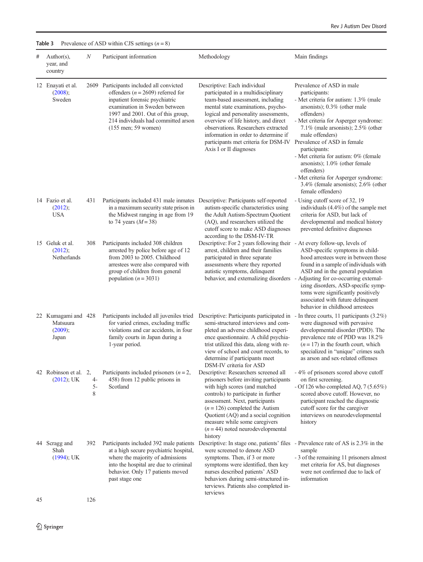|    |                                                     |                   | Participant information                                                                                                                                                                                                                                   | Methodology                                                                                                                                                                                                                                                                                                                                                                    | Main findings                                                                                                                                                                                                                                                                                                                                                                                                                                                                      |
|----|-----------------------------------------------------|-------------------|-----------------------------------------------------------------------------------------------------------------------------------------------------------------------------------------------------------------------------------------------------------|--------------------------------------------------------------------------------------------------------------------------------------------------------------------------------------------------------------------------------------------------------------------------------------------------------------------------------------------------------------------------------|------------------------------------------------------------------------------------------------------------------------------------------------------------------------------------------------------------------------------------------------------------------------------------------------------------------------------------------------------------------------------------------------------------------------------------------------------------------------------------|
|    | country<br>12 Enayati et al.<br>(2008);<br>Sweden   |                   | 2609 Participants included all convicted<br>offenders ( $n = 2609$ ) referred for<br>inpatient forensic psychiatric<br>examination in Sweden between<br>1997 and 2001. Out of this group,<br>214 individuals had committed arson<br>$(155$ men; 59 women) | Descriptive: Each individual<br>participated in a multidisciplinary<br>team-based assessment, including<br>mental state examinations, psycho-<br>logical and personality assessments,<br>overview of life history, and direct<br>observations. Researchers extracted<br>information in order to determine if<br>participants met criteria for DSM-IV<br>Axis I or II diagnoses | Prevalence of ASD in male<br>participants:<br>- Met criteria for autism: 1.3% (male<br>arsonists); 0.3% (other male<br>offenders)<br>- Met criteria for Asperger syndrome:<br>7.1% (male arsonists); 2.5% (other<br>male offenders)<br>Prevalence of ASD in female<br>participants:<br>- Met criteria for autism: 0% (female<br>arsonists); 1.0% (other female<br>offenders)<br>- Met criteria for Asperger syndrome:<br>3.4% (female arsonists); 2.6% (other<br>female offenders) |
|    | 14 Fazio et al.<br>(2012);<br><b>USA</b>            | 431               | Participants included 431 male inmates Descriptive: Participants self-reported<br>in a maximum security state prison in<br>the Midwest ranging in age from 19<br>to 74 years $(M=38)$                                                                     | autism-specific characteristics using<br>the Adult Autism-Spectrum Quotient<br>(AQ), and researchers utilized the<br>cutoff score to make ASD diagnoses<br>according to the DSM-IV-TR                                                                                                                                                                                          | - Using cutoff score of 32, 19<br>individuals (4.4%) of the sample met<br>criteria for ASD, but lack of<br>developmental and medical history<br>prevented definitive diagnoses                                                                                                                                                                                                                                                                                                     |
|    | 15 Geluk et al.<br>$(2012)$ ;<br>Netherlands        | 308               | Participants included 308 children<br>arrested by police before age of 12<br>from 2003 to 2005. Childhood<br>arrestees were also compared with<br>group of children from general<br>population ( $n = 3031$ )                                             | Descriptive: For 2 years following their - At every follow-up, levels of<br>arrest, children and their families<br>participated in three separate<br>assessments where they reported<br>autistic symptoms, delinquent                                                                                                                                                          | ASD-specific symptoms in child-<br>hood arrestees were in between those<br>found in a sample of individuals with<br>ASD and in the general population<br>behavior, and externalizing disorders - Adjusting for co-occurring external-<br>izing disorders, ASD-specific symp-<br>toms were significantly positively<br>associated with future delinquent<br>behavior in childhood arrestees                                                                                         |
|    | 22 Kumagami and 428<br>Matsuura<br>(2009);<br>Japan |                   | Participants included all juveniles tried<br>for varied crimes, excluding traffic<br>violations and car accidents, in four<br>family courts in Japan during a<br>1-year period.                                                                           | Descriptive: Participants participated in<br>semi-structured interviews and com-<br>pleted an adverse childhood experi-<br>ence questionnaire. A child psychia-<br>trist utilized this data, along with re-<br>view of school and court records, to<br>determine if participants meet<br>DSM-IV criteria for ASD                                                               | In three courts, 11 participants (3.2%)<br>were diagnosed with pervasive<br>developmental disorder (PDD). The<br>prevalence rate of PDD was 18.2%<br>$(n = 17)$ in the fourth court, which<br>specialized in "unique" crimes such<br>as arson and sex-related offenses                                                                                                                                                                                                             |
|    | 42 Robinson et al. 2,<br>$(2012)$ ; UK              | $4-$<br>$5-$<br>8 | Participants included prisoners ( $n = 2$ ,<br>458) from 12 public prisons in<br>Scotland                                                                                                                                                                 | Descriptive: Researchers screened all<br>prisoners before inviting participants<br>with high scores (and matched<br>controls) to participate in further<br>assessment. Next, participants<br>$(n = 126)$ completed the Autism<br>Quotient (AQ) and a social cognition<br>measure while some caregivers<br>$(n = 44)$ noted neurodevelopmental<br>history                       | - 4% of prisoners scored above cutoff<br>on first screening.<br>- Of 126 who completed AQ, $7(5.65\%)$<br>scored above cutoff. However, no<br>participant reached the diagnostic<br>cutoff score for the caregiver<br>interviews on neurodevelopmental<br>history                                                                                                                                                                                                                  |
| 45 | 44 Scragg and<br>Shah<br>$(1994)$ ; UK              | 392<br>126        | Participants included 392 male patients<br>at a high secure psychiatric hospital,<br>where the majority of admissions<br>into the hospital are due to criminal<br>behavior. Only 17 patients moved<br>past stage one                                      | Descriptive: In stage one, patients' files - Prevalence rate of AS is 2.3% in the<br>were screened to denote ASD<br>symptoms. Then, if 3 or more<br>symptoms were identified, then key<br>nurses described patients' ASD<br>behaviors during semi-structured in-<br>terviews. Patients also completed in-<br>terviews                                                          | sample<br>- 3 of the remaining 11 prisoners almost<br>met criteria for AS, but diagnoses<br>were not confirmed due to lack of<br>information                                                                                                                                                                                                                                                                                                                                       |

<span id="page-8-0"></span>**Table 3** Prevalence of ASD within CJS settings  $(n = 8)$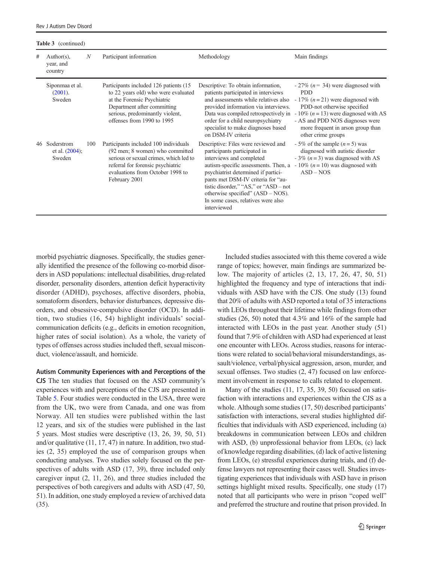| Rev J Autism Dev Disord |  |
|-------------------------|--|
|-------------------------|--|

Table 3 (continued)

| #  | $Author(s)$ ,<br>year, and<br>country     | N   | Participant information                                                                                                                                                                                       | Methodology                                                                                                                                                                                                                                                                                                                                                                                          | Main findings                                                                                                                                                                                                                                                                                                            |
|----|-------------------------------------------|-----|---------------------------------------------------------------------------------------------------------------------------------------------------------------------------------------------------------------|------------------------------------------------------------------------------------------------------------------------------------------------------------------------------------------------------------------------------------------------------------------------------------------------------------------------------------------------------------------------------------------------------|--------------------------------------------------------------------------------------------------------------------------------------------------------------------------------------------------------------------------------------------------------------------------------------------------------------------------|
|    | Siponmaa et al.<br>(2001).<br>Sweden      |     | Participants included 126 patients (15)<br>to 22 years old) who were evaluated<br>at the Forensic Psychiatric<br>Department after committing<br>serious, predominantly violent,<br>offenses from 1990 to 1995 | Descriptive: To obtain information,<br>patients participated in interviews<br>and assessments while relatives also<br>provided information via interviews.<br>order for a child neuropsychiatry<br>specialist to make diagnoses based<br>on DSM-IV criteria                                                                                                                                          | $-27\%$ ( $n = 34$ ) were diagnosed with<br><b>PDD</b><br>$-17\%$ ( <i>n</i> = 21) were diagnosed with<br>PDD-not otherwise specified<br>Data was compiled retrospectively in - $10\%$ ( $n = 13$ ) were diagnosed with AS<br>- AS and PDD NOS diagnoses were<br>more frequent in arson group than<br>other crime groups |
| 46 | Soderstrom<br>et al. $(2004)$ ;<br>Sweden | 100 | Participants included 100 individuals<br>(92 men; 8 women) who committed<br>serious or sexual crimes, which led to<br>referral for forensic psychiatric<br>evaluations from October 1998 to<br>February 2001  | Descriptive: Files were reviewed and<br>participants participated in<br>interviews and completed<br>autism-specific assessments. Then, a - $10\%$ ( $n = 10$ ) was diagnosed with<br>psychiatrist determined if partici-<br>pants met DSM-IV criteria for "au-<br>tistic disorder," "AS," or "ASD - not<br>otherwise specified" $(ASD - NOS)$ .<br>In some cases, relatives were also<br>interviewed | $-5\%$ of the sample $(n=5)$ was<br>diagnosed with autistic disorder<br>$-3\%$ ( <i>n</i> = 3) was diagnosed with AS<br>$ASD - NOS$                                                                                                                                                                                      |

morbid psychiatric diagnoses. Specifically, the studies generally identified the presence of the following co-morbid disorders in ASD populations: intellectual disabilities, drug-related disorder, personality disorders, attention deficit hyperactivity disorder (ADHD), psychoses, affective disorders, phobia, somatoform disorders, behavior disturbances, depressive disorders, and obsessive-compulsive disorder (OCD). In addition, two studies (16, 54) highlight individuals' socialcommunication deficits (e.g., deficits in emotion recognition, higher rates of social isolation). As a whole, the variety of types of offenses across studies included theft, sexual misconduct, violence/assault, and homicide.

Autism Community Experiences with and Perceptions of the CJS The ten studies that focused on the ASD community's experiences with and perceptions of the CJS are presented in Table [5.](#page-13-0) Four studies were conducted in the USA, three were from the UK, two were from Canada, and one was from Norway. All ten studies were published within the last 12 years, and six of the studies were published in the last 5 years. Most studies were descriptive (13, 26, 39, 50, 51) and/or qualitative (11, 17, 47) in nature. In addition, two studies (2, 35) employed the use of comparison groups when conducting analyses. Two studies solely focused on the perspectives of adults with ASD (17, 39), three included only caregiver input (2, 11, 26), and three studies included the perspectives of both caregivers and adults with ASD (47, 50, 51). In addition, one study employed a review of archived data (35).

Included studies associated with this theme covered a wide range of topics; however, main findings are summarized below. The majority of articles (2, 13, 17, 26, 47, 50, 51) highlighted the frequency and type of interactions that individuals with ASD have with the CJS. One study (13) found that 20% of adults with ASD reported a total of 35 interactions with LEOs throughout their lifetime while findings from other studies (26, 50) noted that 4.3% and 16% of the sample had interacted with LEOs in the past year. Another study (51) found that 7.9% of children with ASD had experienced at least one encounter with LEOs. Across studies, reasons for interactions were related to social/behavioral misunderstandings, assault/violence, verbal/physical aggression, arson, murder, and sexual offenses. Two studies (2, 47) focused on law enforcement involvement in response to calls related to elopement.

Many of the studies (11, 17, 35, 39, 50) focused on satisfaction with interactions and experiences within the CJS as a whole. Although some studies (17, 50) described participants' satisfaction with interactions, several studies highlighted difficulties that individuals with ASD experienced, including (a) breakdowns in communication between LEOs and children with ASD, (b) unprofessional behavior from LEOs, (c) lack of knowledge regarding disabilities, (d) lack of active listening from LEOs, (e) stressful experiences during trials, and (f) defense lawyers not representing their cases well. Studies investigating experiences that individuals with ASD have in prison settings highlight mixed results. Specifically, one study (17) noted that all participants who were in prison "coped well" and preferred the structure and routine that prison provided. In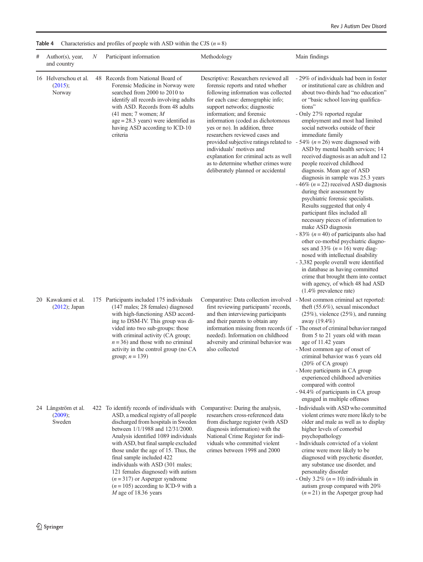| # | Author(s), year,<br>and country               | N | Participant information                                                                                                                                                                                                                                                                                                                                                                                                                                                                            | Methodology                                                                                                                                                                                                                                                                                                                                                                                                                                                                                                                                                       | Main findings                                                                                                                                                                                                                                                                                                                                                                                                                                                                                                                                                                                                                                                                                                                                                                                                                                                                                                                                                                                                                                                                               |
|---|-----------------------------------------------|---|----------------------------------------------------------------------------------------------------------------------------------------------------------------------------------------------------------------------------------------------------------------------------------------------------------------------------------------------------------------------------------------------------------------------------------------------------------------------------------------------------|-------------------------------------------------------------------------------------------------------------------------------------------------------------------------------------------------------------------------------------------------------------------------------------------------------------------------------------------------------------------------------------------------------------------------------------------------------------------------------------------------------------------------------------------------------------------|---------------------------------------------------------------------------------------------------------------------------------------------------------------------------------------------------------------------------------------------------------------------------------------------------------------------------------------------------------------------------------------------------------------------------------------------------------------------------------------------------------------------------------------------------------------------------------------------------------------------------------------------------------------------------------------------------------------------------------------------------------------------------------------------------------------------------------------------------------------------------------------------------------------------------------------------------------------------------------------------------------------------------------------------------------------------------------------------|
|   | 16 Helverschou et al.<br>$(2015)$ ;<br>Norway |   | 48 Records from National Board of<br>Forensic Medicine in Norway were<br>searched from 2000 to 2010 to<br>identify all records involving adults<br>with ASD. Records from 48 adults<br>$(41$ men; 7 women; M<br>$age = 28.3 \text{ years}$ ) were identified as<br>having ASD according to ICD-10<br>criteria                                                                                                                                                                                      | Descriptive: Researchers reviewed all<br>forensic reports and rated whether<br>following information was collected<br>for each case: demographic info;<br>support networks; diagnostic<br>information; and forensic<br>information (coded as dichotomous<br>yes or no). In addition, three<br>researchers reviewed cases and<br>provided subjective ratings related to $-54\%$ ( $n = 26$ ) were diagnosed with<br>individuals' motives and<br>explanation for criminal acts as well<br>as to determine whether crimes were<br>deliberately planned or accidental | - 29% of individuals had been in foster<br>or institutional care as children and<br>about two-thirds had "no education"<br>or "basic school leaving qualifica-<br>tions"<br>- Only 27% reported regular<br>employment and most had limited<br>social networks outside of their<br>immediate family<br>ASD by mental health services; 14<br>received diagnosis as an adult and 12<br>people received childhood<br>diagnosis. Mean age of ASD<br>diagnosis in sample was 25.3 years<br>$-46\%$ ( $n = 22$ ) received ASD diagnosis<br>during their assessment by<br>psychiatric forensic specialists.<br>Results suggested that only 4<br>participant files included all<br>necessary pieces of information to<br>make ASD diagnosis<br>- 83% ( $n = 40$ ) of participants also had<br>other co-morbid psychiatric diagno-<br>ses and 33% ( $n = 16$ ) were diag-<br>nosed with intellectual disability<br>- 3,382 people overall were identified<br>in database as having committed<br>crime that brought them into contact<br>with agency, of which 48 had ASD<br>$(1.4\%$ prevalence rate) |
|   | 20 Kawakami et al.<br>$(2012)$ ; Japan        |   | 175 Participants included 175 individuals<br>(147 males; 28 females) diagnosed<br>with high-functioning ASD accord-<br>ing to DSM-IV. This group was di-<br>vided into two sub-groups: those<br>with criminal activity (CA group;<br>$n = 36$ ) and those with no criminal<br>activity in the control group (no CA<br>group; $n = 139$ )                                                                                                                                                           | Comparative: Data collection involved<br>first reviewing participants' records,<br>and then interviewing participants<br>and their parents to obtain any<br>needed). Information on childhood<br>adversity and criminal behavior was<br>also collected                                                                                                                                                                                                                                                                                                            | - Most common criminal act reported:<br>theft $(55.6\%)$ , sexual misconduct<br>$(25\%)$ , violence $(25\%)$ , and running<br>away (19.4%)<br>information missing from records (if - The onset of criminal behavior ranged<br>from 5 to 21 years old with mean<br>age of 11.42 years<br>- Most common age of onset of<br>criminal behavior was 6 years old<br>(20% of CA group)<br>- More participants in CA group<br>experienced childhood adversities<br>compared with control<br>- 94.4% of participants in CA group<br>engaged in multiple offenses                                                                                                                                                                                                                                                                                                                                                                                                                                                                                                                                     |
|   | 24 Långström et al.<br>(2009);<br>Sweden      |   | 422 To identify records of individuals with<br>ASD, a medical registry of all people<br>discharged from hospitals in Sweden<br>between 1/1/1988 and 12/31/2000.<br>Analysis identified 1089 individuals<br>with ASD, but final sample excluded<br>those under the age of 15. Thus, the<br>final sample included 422<br>individuals with ASD (301 males;<br>121 females diagnosed) with autism<br>$(n=317)$ or Asperger syndrome<br>$(n = 105)$ according to ICD-9 with a<br>$M$ age of 18.36 years | Comparative: During the analysis,<br>researchers cross-referenced data<br>from discharge register (with ASD<br>diagnosis information) with the<br>National Crime Register for indi-<br>viduals who committed violent<br>crimes between 1998 and 2000                                                                                                                                                                                                                                                                                                              | - Individuals with ASD who committed<br>violent crimes were more likely to be<br>older and male as well as to display<br>higher levels of comorbid<br>psychopathology<br>- Individuals convicted of a violent<br>crime were more likely to be<br>diagnosed with psychotic disorder,<br>any substance use disorder, and<br>personality disorder<br>- Only 3.2% ( $n = 10$ ) individuals in<br>autism group compared with 20%<br>$(n=21)$ in the Asperger group had                                                                                                                                                                                                                                                                                                                                                                                                                                                                                                                                                                                                                           |

<span id="page-10-0"></span>**Table 4** Characteristics and profiles of people with ASD within the CJS  $(n = 8)$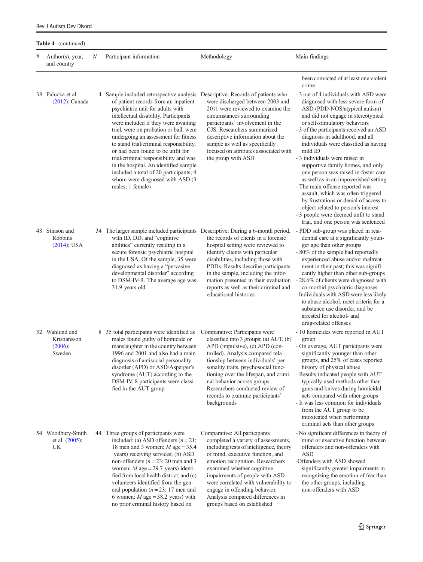|   | Table 4 (continued)                                 |   |                                                                                                                                                                                                                                                                                                                                                                                                                                                                                                                                                                                                |                                                                                                                                                                                                                                                                                                                                                                                                      |                                                                                                                                                                                                                                                                                                                                                                                                                                                                                                                                                                                                                                                                                                                           |
|---|-----------------------------------------------------|---|------------------------------------------------------------------------------------------------------------------------------------------------------------------------------------------------------------------------------------------------------------------------------------------------------------------------------------------------------------------------------------------------------------------------------------------------------------------------------------------------------------------------------------------------------------------------------------------------|------------------------------------------------------------------------------------------------------------------------------------------------------------------------------------------------------------------------------------------------------------------------------------------------------------------------------------------------------------------------------------------------------|---------------------------------------------------------------------------------------------------------------------------------------------------------------------------------------------------------------------------------------------------------------------------------------------------------------------------------------------------------------------------------------------------------------------------------------------------------------------------------------------------------------------------------------------------------------------------------------------------------------------------------------------------------------------------------------------------------------------------|
| # | Author(s), year,<br>and country                     | N | Participant information                                                                                                                                                                                                                                                                                                                                                                                                                                                                                                                                                                        | Methodology                                                                                                                                                                                                                                                                                                                                                                                          | Main findings                                                                                                                                                                                                                                                                                                                                                                                                                                                                                                                                                                                                                                                                                                             |
|   |                                                     |   |                                                                                                                                                                                                                                                                                                                                                                                                                                                                                                                                                                                                |                                                                                                                                                                                                                                                                                                                                                                                                      | been convicted of at least one violent<br>crime                                                                                                                                                                                                                                                                                                                                                                                                                                                                                                                                                                                                                                                                           |
|   | 38 Palucka et al.<br>$(2012)$ ; Canada              |   | 4 Sample included retrospective analysis Descriptive: Records of patients who<br>of patient records from an inpatient<br>psychiatric unit for adults with<br>intellectual disability. Participants<br>were included if they were awaiting<br>trial, were on probation or bail, were<br>undergoing an assessment for fitness<br>to stand trial/criminal responsibility,<br>or had been found to be unfit for<br>trial/criminal responsibility and was<br>in the hospital. An identified sample<br>included a total of 20 participants; 4<br>whom were diagnosed with ASD (3<br>males; 1 female) | were discharged between 2003 and<br>2011 were reviewed to examine the<br>circumstances surrounding<br>participants' involvement in the<br>CJS. Researchers summarized<br>descriptive information about the<br>sample as well as specifically<br>focused on attributes associated with<br>the group with ASD                                                                                          | - 3 out of 4 individuals with ASD were<br>diagnosed with less severe form of<br>ASD (PDD-NOS/atypical autism)<br>and did not engage in stereotypical<br>or self-stimulatory behaviors<br>- 3 of the participants received an ASD<br>diagnosis in adulthood, and all<br>individuals were classified as having<br>mild ID<br>- 3 individuals were raised in<br>supportive family homes, and only<br>one person was raised in foster care<br>as well as in an impoverished setting<br>- The main offense reported was<br>assault, which was often triggered<br>by frustrations or denial of access to<br>object related to person's interest<br>- 3 people were deemed unfit to stand<br>trial, and one person was sentenced |
|   | 48 Stinson and<br>Robbins<br>$(2014)$ ; USA         |   | 34 The larger sample included participants Descriptive: During a 6-month period,<br>with ID, DD, and "cognitive<br>abilities" currently residing in a<br>secure forensic psychiatric hospital<br>in the USA. Of the sample, 35 were<br>diagnosed as having a "pervasive<br>developmental disorder" according<br>to DSM-IV-R. The average age was<br>31.9 years old                                                                                                                                                                                                                             | the records of clients in a forensic<br>hospital setting were reviewed to<br>identify clients with particular<br>disabilities, including those with<br>PDDs. Results describe participants<br>in the sample, including the infor-<br>mation presented in their evaluation<br>reports as well as their criminal and<br>educational histories                                                          | - PDD sub-group was placed in resi-<br>dential care at a significantly youn-<br>ger age than other groups<br>- 80% of the sample had reportedly<br>experienced abuse and/or maltreat-<br>ment in their past; this was signifi-<br>cantly higher than other sub-groups<br>- 28.6% of clients were diagnosed with<br>co-morbid psychiatric diagnoses<br>- Individuals with ASD were less likely<br>to abuse alcohol, meet criteria for a<br>substance use disorder, and be<br>arrested for alcohol- and<br>drug-related offenses                                                                                                                                                                                            |
|   | 52 Wahlund and<br>Kristiansson<br>(2006);<br>Sweden |   | 8 35 total participants were identified as<br>males found guilty of homicide or<br>manslaughter in the country between<br>1996 and 2001 and also had a main<br>diagnosis of antisocial personality<br>disorder (APD) or ASD/Asperger's<br>syndrome (AUT) according to the<br>DSM-IV. 8 participants were classi-<br>fied in the AUT group                                                                                                                                                                                                                                                      | Comparative: Participants were<br>classified into 3 groups: (a) AUT, (b)<br>APD (impulsive), (c) APD (con-<br>trolled). Analysis compared rela-<br>tionship between individuals' per-<br>sonality traits, psychosocial func-<br>tioning over the lifespan, and crimi-<br>nal behavior across groups.<br>Researchers conducted review of<br>records to examine participants'<br>backgrounds           | - 10 homicides were reported in AUT<br>group<br>- On average, AUT participants were<br>significantly younger than other<br>groups, and 25% of cases reported<br>history of physical abuse<br>Results indicated people with AUT<br>typically used methods other than<br>guns and knives during homicidal<br>acts compared with other groups<br>- It was less common for individuals<br>from the AUT group to be<br>intoxicated when performing<br>criminal acts than other groups                                                                                                                                                                                                                                          |
|   | 54 Woodbury-Smith<br>et al. $(2005)$ ;<br>UK        |   | 44 Three groups of participants were<br>included: (a) ASD offenders $(n = 21)$ ;<br>18 men and 3 women; $M$ age = 35.4<br>years) receiving services; (b) ASD<br>non-offenders ( $n = 23$ ; 20 men and 3<br>women; $M$ age = 29.7 years) identi-<br>fied from local health district; and (c)<br>volunteers identified from the gen-<br>eral population ( $n = 23$ ; 17 men and<br>6 women; $M$ age = 38.2 years) with<br>no prior criminal history based on                                                                                                                                     | Comparative: All participants<br>completed a variety of assessments,<br>including tests of intelligence, theory<br>of mind, executive function, and<br>emotion recognition. Researchers<br>examined whether cognitive<br>impairments of people with ASD<br>were correlated with vulnerability to<br>engage in offending behavior.<br>Analysis compared differences in<br>groups based on established | - No significant differences in theory of<br>mind or executive function between<br>offenders and non-offenders with<br>ASD<br>-Offenders with ASD showed<br>significantly greater impairments in<br>recognizing the emotion of fear than<br>the other groups, including<br>non-offenders with ASD                                                                                                                                                                                                                                                                                                                                                                                                                         |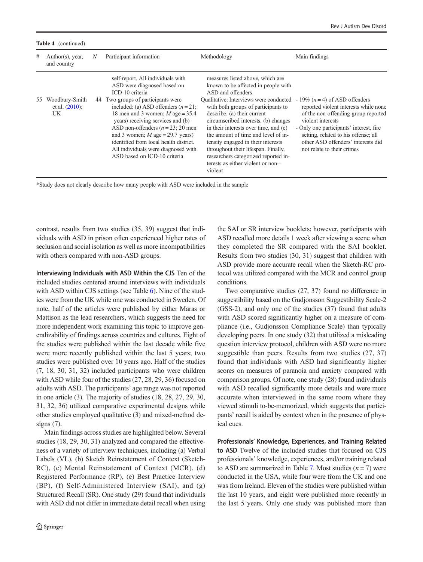|    | <b>Table 4</b> (continued)                 |   |                                                                                                                                                                                                                                                                                                                                                                                                                                                |                                                                                                                                                                                                                                                                                                                                                                                                                                                                                                            |                                                                                                                                                                                                                                                                                                                      |  |  |
|----|--------------------------------------------|---|------------------------------------------------------------------------------------------------------------------------------------------------------------------------------------------------------------------------------------------------------------------------------------------------------------------------------------------------------------------------------------------------------------------------------------------------|------------------------------------------------------------------------------------------------------------------------------------------------------------------------------------------------------------------------------------------------------------------------------------------------------------------------------------------------------------------------------------------------------------------------------------------------------------------------------------------------------------|----------------------------------------------------------------------------------------------------------------------------------------------------------------------------------------------------------------------------------------------------------------------------------------------------------------------|--|--|
| #  | Author(s), year,<br>and country            | N | Participant information                                                                                                                                                                                                                                                                                                                                                                                                                        | Methodology                                                                                                                                                                                                                                                                                                                                                                                                                                                                                                | Main findings                                                                                                                                                                                                                                                                                                        |  |  |
| 55 | Woodbury-Smith<br>et al. $(2010)$ ;<br>UK. |   | self-report. All individuals with<br>ASD were diagnosed based on<br>ICD-10 criteria<br>44 Two groups of participants were<br>included: (a) ASD offenders $(n = 21)$ ;<br>18 men and 3 women; $M$ age = 35.4<br>years) receiving services and (b)<br>ASD non-offenders $(n = 23; 20$ men<br>and 3 women; $M$ age = 29.7 years)<br>identified from local health district.<br>All individuals were diagnosed with<br>ASD based on ICD-10 criteria | measures listed above, which are<br>known to be affected in people with<br>ASD and offenders<br>Qualitative: Interviews were conducted<br>with both groups of participants to<br>describe: (a) their current<br>circumscribed interests, (b) changes<br>in their interests over time, and (c)<br>the amount of time and level of in-<br>tensity engaged in their interests<br>throughout their lifespan. Finally,<br>researchers categorized reported in-<br>terests as either violent or non--<br>violent | 19% $(n=4)$ of ASD offenders<br>$\overline{\phantom{a}}$<br>reported violent interests while none<br>of the non-offending group reported<br>violent interests<br>- Only one participants' interest, fire<br>setting, related to his offense; all<br>other ASD offenders' interests did<br>not relate to their crimes |  |  |

\*Study does not clearly describe how many people with ASD were included in the sample

contrast, results from two studies (35, 39) suggest that individuals with ASD in prison often experienced higher rates of seclusion and social isolation as well as more incompatibilities with others compared with non-ASD groups.

Interviewing Individuals with ASD Within the CJS Ten of the included studies centered around interviews with individuals with ASD within CJS settings (see Table [6\)](#page-16-0). Nine of the studies were from the UK while one was conducted in Sweden. Of note, half of the articles were published by either Maras or Mattison as the lead researchers, which suggests the need for more independent work examining this topic to improve generalizability of findings across countries and cultures. Eight of the studies were published within the last decade while five were more recently published within the last 5 years; two studies were published over 10 years ago. Half of the studies (7, 18, 30, 31, 32) included participants who were children with ASD while four of the studies (27, 28, 29, 36) focused on adults with ASD. The participants' age range was not reported in one article (3). The majority of studies (18, 28, 27, 29, 30, 31, 32, 36) utilized comparative experimental designs while other studies employed qualitative (3) and mixed-method designs (7).

Main findings across studies are highlighted below. Several studies (18, 29, 30, 31) analyzed and compared the effectiveness of a variety of interview techniques, including (a) Verbal Labels (VL), (b) Sketch Reinstatement of Context (Sketch-RC), (c) Mental Reinstatement of Context (MCR), (d) Registered Performance (RP), (e) Best Practice Interview (BP), (f) Self-Administered Interview (SAI), and (g) Structured Recall (SR). One study (29) found that individuals with ASD did not differ in immediate detail recall when using the SAI or SR interview booklets; however, participants with ASD recalled more details 1 week after viewing a scene when they completed the SR compared with the SAI booklet. Results from two studies (30, 31) suggest that children with ASD provide more accurate recall when the Sketch-RC protocol was utilized compared with the MCR and control group conditions.

Two comparative studies (27, 37) found no difference in suggestibility based on the Gudjonsson Suggestibility Scale-2 (GSS-2), and only one of the studies (37) found that adults with ASD scored significantly higher on a measure of compliance (i.e., Gudjonsson Compliance Scale) than typically developing peers. In one study (32) that utilized a misleading question interview protocol, children with ASD were no more suggestible than peers. Results from two studies (27, 37) found that individuals with ASD had significantly higher scores on measures of paranoia and anxiety compared with comparison groups. Of note, one study (28) found individuals with ASD recalled significantly more details and were more accurate when interviewed in the same room where they viewed stimuli to-be-memorized, which suggests that participants' recall is aided by context when in the presence of physical cues.

Professionals' Knowledge, Experiences, and Training Related to ASD Twelve of the included studies that focused on CJS professionals' knowledge, experiences, and/or training related to ASD are summarized in Table [7.](#page-19-0) Most studies  $(n = 7)$  were conducted in the USA, while four were from the UK and one was from Ireland. Eleven of the studies were published within the last 10 years, and eight were published more recently in the last 5 years. Only one study was published more than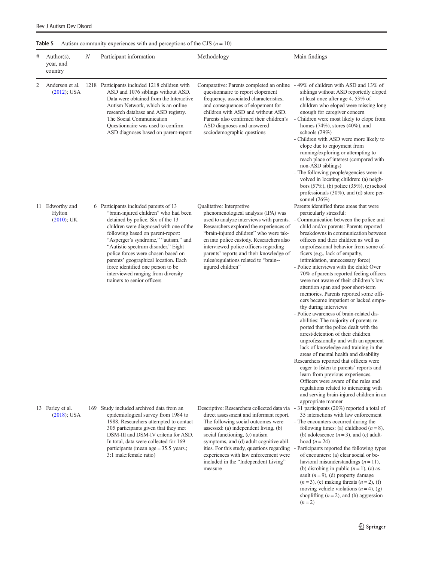<span id="page-13-0"></span>

| # | Author(s),<br>year, and<br>country         | N | Participant information                                                                                                                                                                                                                                                                                                                                                                                                                                                    | Methodology                                                                                                                                                                                                                                                                                                                                                                                                                              | Main findings                                                                                                                                                                                                                                                                                                                                                                                                                                                                                                                                                                                                                                                                                                                                                                                                                                                                                                                                                                                                                                                                                                                                                                                     |
|---|--------------------------------------------|---|----------------------------------------------------------------------------------------------------------------------------------------------------------------------------------------------------------------------------------------------------------------------------------------------------------------------------------------------------------------------------------------------------------------------------------------------------------------------------|------------------------------------------------------------------------------------------------------------------------------------------------------------------------------------------------------------------------------------------------------------------------------------------------------------------------------------------------------------------------------------------------------------------------------------------|---------------------------------------------------------------------------------------------------------------------------------------------------------------------------------------------------------------------------------------------------------------------------------------------------------------------------------------------------------------------------------------------------------------------------------------------------------------------------------------------------------------------------------------------------------------------------------------------------------------------------------------------------------------------------------------------------------------------------------------------------------------------------------------------------------------------------------------------------------------------------------------------------------------------------------------------------------------------------------------------------------------------------------------------------------------------------------------------------------------------------------------------------------------------------------------------------|
| 2 | Anderson et al.<br>$(2012)$ ; USA          |   | 1218 Participants included 1218 children with<br>ASD and 1076 siblings without ASD.<br>Data were obtained from the Interactive<br>Autism Network, which is an online<br>research database and ASD registry.<br>The Social Communication<br>Questionnaire was used to confirm<br>ASD diagnoses based on parent-report                                                                                                                                                       | Comparative: Parents completed an online - 49% of children with ASD and 13% of<br>questionnaire to report elopement<br>frequency, associated characteristics,<br>and consequences of elopement for<br>children with ASD and without ASD.<br>Parents also confirmed their children's<br>ASD diagnoses and answered<br>sociodemographic questions                                                                                          | siblings without ASD reportedly eloped<br>at least once after age 4.53% of<br>children who eloped were missing long<br>enough for caregiver concern<br>Children were most likely to elope from<br>homes $(74\%)$ , stores $(40\%)$ , and<br>schools $(29%)$<br>- Children with ASD were more likely to<br>elope due to enjoyment from<br>running/exploring or attempting to<br>reach place of interest (compared with<br>non-ASD siblings)<br>- The following people/agencies were in-<br>volved in locating children: (a) neigh-<br>bors $(57\%)$ , (b) police $(35\%)$ , (c) school<br>professionals $(30\%)$ , and (d) store per-<br>sonnel $(26\%)$                                                                                                                                                                                                                                                                                                                                                                                                                                                                                                                                           |
|   | 11 Edworthy and<br>Hylton<br>$(2010)$ ; UK |   | 6 Participants included parents of 13<br>"brain-injured children" who had been<br>detained by police. Six of the 13<br>children were diagnosed with one of the<br>following based on parent-report:<br>"Asperger's syndrome," "autism," and<br>"Autistic spectrum disorder." Eight<br>police forces were chosen based on<br>parents' geographical location. Each<br>force identified one person to be<br>interviewed ranging from diversity<br>trainers to senior officers | Qualitative: Interpretive<br>phenomenological analysis (IPA) was<br>used to analyze interviews with parents.<br>Researchers explored the experiences of<br>"brain-injured children" who were tak-<br>en into police custody. Researchers also<br>interviewed police officers regarding<br>parents' reports and their knowledge of<br>rules/regulations related to "brain--<br>injured children"                                          | Parents identified three areas that were<br>particularly stressful:<br>Communication between the police and<br>child and/or parents: Parents reported<br>breakdowns in communication between<br>officers and their children as well as<br>unprofessional behavior from some of-<br>ficers (e.g., lack of empathy,<br>intimidation, unnecessary force)<br>- Police interviews with the child: Over<br>70% of parents reported feeling officers<br>were not aware of their children's low<br>attention span and poor short-term<br>memories. Parents reported some offi-<br>cers became impatient or lacked empa-<br>thy during interviews<br>- Police awareness of brain-related dis-<br>abilities: The majority of parents re-<br>ported that the police dealt with the<br>arrest/detention of their children<br>unprofessionally and with an apparent<br>lack of knowledge and training in the<br>areas of mental health and disability<br>Researchers reported that officers were<br>eager to listen to parents' reports and<br>learn from previous experiences.<br>Officers were aware of the rules and<br>regulations related to interacting with<br>and serving brain-injured children in an |
|   | 13 Farley et al.<br>$(2018)$ ; USA         |   | 169 Study included archived data from an<br>epidemiological survey from 1984 to<br>1988. Researchers attempted to contact<br>305 participants given that they met<br>DSM-III and DSM-IV criteria for ASD.<br>In total, data were collected for 169<br>participants (mean age = 35.5 years.;<br>3:1 male: female ratio)                                                                                                                                                     | Descriptive: Researchers collected data via - 31 participants (20%) reported a total of<br>direct assessment and informant report.<br>The following social outcomes were<br>assessed: (a) independent living, (b)<br>social functioning, (c) autism<br>symptoms, and (d) adult cognitive abil-<br>ities. For this study, questions regarding<br>experiences with law enforcement were<br>included in the "Independent Living"<br>measure | appropriate manner<br>35 interactions with law enforcement<br>- The encounters occurred during the<br>following times: (a) childhood $(n = 8)$ ,<br>(b) adolescence $(n=3)$ , and (c) adult-<br>hood $(n=24)$<br>Participants reported the following types<br>of encounters: (a) clear social or be-<br>havioral misunderstandings $(n = 11)$ ,<br>(b) disrobing in public $(n = 1)$ , (c) as-<br>sault $(n = 9)$ , (d) property damage<br>$(n=3)$ , (e) making threats $(n=2)$ , (f)<br>moving vehicle violations $(n = 4)$ , (g)<br>shoplifting $(n = 2)$ , and (h) aggression<br>$(n=2)$                                                                                                                                                                                                                                                                                                                                                                                                                                                                                                                                                                                                       |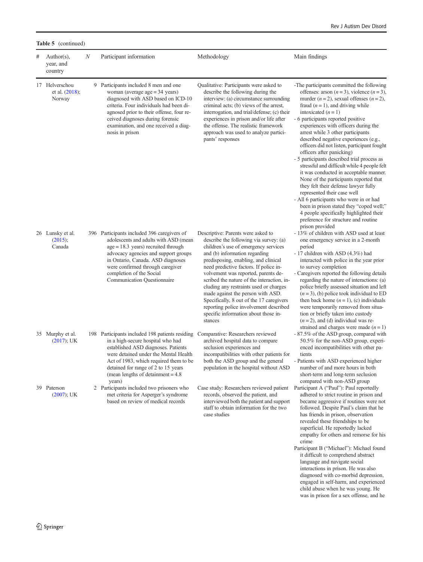|   | Table 5 (continued)                           |   |                                                                                                                                                                                                                                                                                                                                  |                                                                                                                                                                                                                                                                                                                                                                                                                                                                                                                                                      |                                                                                                                                                                                                                                                                                                                                                                                                                                                                                                                                                                                                                                                                                                                                                                                                                                                                                            |  |  |
|---|-----------------------------------------------|---|----------------------------------------------------------------------------------------------------------------------------------------------------------------------------------------------------------------------------------------------------------------------------------------------------------------------------------|------------------------------------------------------------------------------------------------------------------------------------------------------------------------------------------------------------------------------------------------------------------------------------------------------------------------------------------------------------------------------------------------------------------------------------------------------------------------------------------------------------------------------------------------------|--------------------------------------------------------------------------------------------------------------------------------------------------------------------------------------------------------------------------------------------------------------------------------------------------------------------------------------------------------------------------------------------------------------------------------------------------------------------------------------------------------------------------------------------------------------------------------------------------------------------------------------------------------------------------------------------------------------------------------------------------------------------------------------------------------------------------------------------------------------------------------------------|--|--|
| # | $Author(s)$ ,<br>year, and<br>country         | N | Participant information                                                                                                                                                                                                                                                                                                          | Methodology                                                                                                                                                                                                                                                                                                                                                                                                                                                                                                                                          | Main findings                                                                                                                                                                                                                                                                                                                                                                                                                                                                                                                                                                                                                                                                                                                                                                                                                                                                              |  |  |
|   | 17 Helverschou<br>et al. $(2018)$ ;<br>Norway |   | 9 Participants included 8 men and one<br>woman (average $age = 34$ years)<br>diagnosed with ASD based on ICD-10<br>criteria. Four individuals had been di-<br>agnosed prior to their offense, four re-<br>ceived diagnoses during forensic<br>examination, and one received a diag-<br>nosis in prison                           | Qualitative: Participants were asked to<br>describe the following during the<br>interview: (a) circumstance surrounding<br>criminal acts; (b) views of the arrest,<br>interrogation, and trial/defense; (c) their<br>experiences in prison and/or life after<br>the offense. The realistic framework<br>approach was used to analyze partici-<br>pants' responses                                                                                                                                                                                    | -The participants committed the following<br>offenses: arson $(n = 3)$ , violence $(n = 3)$ ,<br>murder $(n = 2)$ , sexual offenses $(n = 2)$ ,<br>fraud $(n = 1)$ , and driving while<br>intoxicated $(n = 1)$<br>- 6 participants reported positive<br>experiences with officers during the<br>arrest while 3 other participants<br>described negative experiences (e.g.,<br>officers did not listen, participant fought<br>officers after panicking)<br>- 5 participants described trial process as<br>stressful and difficult while 4 people felt<br>it was conducted in acceptable manner.<br>None of the participants reported that<br>they felt their defense lawyer fully<br>represented their case well<br>- All 6 participants who were in or had<br>been in prison stated they "coped well;"<br>4 people specifically highlighted their<br>preference for structure and routine |  |  |
|   | 26 Lunsky et al.<br>$(2015)$ :<br>Canada      |   | 396 Participants included 396 caregivers of<br>adolescents and adults with ASD (mean<br>$age = 18.3 \text{ years}$ recruited through<br>advocacy agencies and support groups<br>in Ontario, Canada. ASD diagnoses<br>were confirmed through caregiver<br>completion of the Social<br>Communication Questionnaire                 | Descriptive: Parents were asked to<br>describe the following via survey: (a)<br>children's use of emergency services<br>and (b) information regarding<br>predisposing, enabling, and clinical<br>need predictive factors. If police in-<br>volvement was reported, parents de-<br>scribed the nature of the interaction, in-<br>cluding any restraints used or charges<br>made against the person with ASD.<br>Specifically, 8 out of the 17 caregivers<br>reporting police involvement described<br>specific information about those in-<br>stances | prison provided<br>- 13% of children with ASD used at least<br>one emergency service in a 2-month<br>period<br>- 17 children with ASD (4.3%) had<br>interacted with police in the year prior<br>to survey completion<br>- Caregivers reported the following details<br>regarding the nature of interactions: (a)<br>police briefly assessed situation and left<br>$(n=3)$ , (b) police took individual to ED<br>then back home $(n = 1)$ , (c) individuals<br>were temporarily removed from situa-<br>tion or briefly taken into custody<br>$(n=2)$ , and (d) individual was re-                                                                                                                                                                                                                                                                                                           |  |  |
|   | 35 Murphy et al.<br>$(2017)$ ; UK             |   | 198 Participants included 198 patients residing Comparative: Researchers reviewed<br>in a high-secure hospital who had<br>established ASD diagnoses. Patients<br>were detained under the Mental Health<br>Act of 1983, which required them to be<br>detained for range of 2 to 15 years<br>(mean lengths of detainment = $4.8$ ) | archived hospital data to compare<br>seclusion experiences and<br>incompatibilities with other patients for<br>both the ASD group and the general<br>population in the hospital without ASD                                                                                                                                                                                                                                                                                                                                                          | strained and charges were made $(n = 1)$<br>- 87.5% of the ASD group, compared with<br>50.5% for the non-ASD group, experi-<br>enced incompatibilities with other pa-<br>tients<br>- Patients with ASD experienced higher<br>number of and more hours in both<br>short-term and long-term seclusion                                                                                                                                                                                                                                                                                                                                                                                                                                                                                                                                                                                        |  |  |
|   | 39 Paterson<br>$(2007)$ ; UK                  |   | years)<br>2 Participants included two prisoners who<br>met criteria for Asperger's syndrome<br>based on review of medical records                                                                                                                                                                                                | Case study: Researchers reviewed patient<br>records, observed the patient, and<br>interviewed both the patient and support<br>staff to obtain information for the two<br>case studies                                                                                                                                                                                                                                                                                                                                                                | compared with non-ASD group<br>Participant A ("Paul"): Paul reportedly<br>adhered to strict routine in prison and<br>became aggressive if routines were not<br>followed. Despite Paul's claim that he<br>has friends in prison, observation<br>revealed these friendships to be<br>superficial. He reportedly lacked<br>empathy for others and remorse for his<br>crime                                                                                                                                                                                                                                                                                                                                                                                                                                                                                                                    |  |  |

Participant B ("Michael"): Michael found it difficult to comprehend abstract language and navigate social interactions in prison. He was also diagnosed with co-morbid depression, engaged in self-harm, and experienced child abuse when he was young. He was in prison for a sex offense, and he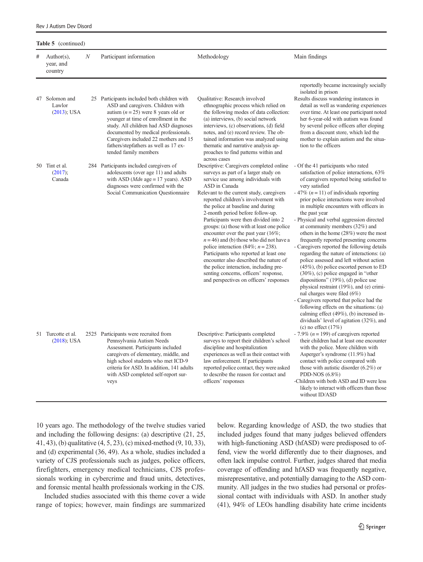|   | Table 5 (continued)                        |                  |                                                                                                                                                                                                                                                                                                                                                               |                                                                                                                                                                                                                                                                                                                                                                                                                                                                                                                                                                                                                                                                                                                                                                 |                                                                                                                                                                                                                                                                                                                                                                                                                                                                                                                                                                                                                                                                                                                                                                                                                                                                                                                                                                                                            |
|---|--------------------------------------------|------------------|---------------------------------------------------------------------------------------------------------------------------------------------------------------------------------------------------------------------------------------------------------------------------------------------------------------------------------------------------------------|-----------------------------------------------------------------------------------------------------------------------------------------------------------------------------------------------------------------------------------------------------------------------------------------------------------------------------------------------------------------------------------------------------------------------------------------------------------------------------------------------------------------------------------------------------------------------------------------------------------------------------------------------------------------------------------------------------------------------------------------------------------------|------------------------------------------------------------------------------------------------------------------------------------------------------------------------------------------------------------------------------------------------------------------------------------------------------------------------------------------------------------------------------------------------------------------------------------------------------------------------------------------------------------------------------------------------------------------------------------------------------------------------------------------------------------------------------------------------------------------------------------------------------------------------------------------------------------------------------------------------------------------------------------------------------------------------------------------------------------------------------------------------------------|
| # | Author(s),<br>year, and<br>country         | $\boldsymbol{N}$ | Participant information                                                                                                                                                                                                                                                                                                                                       | Methodology                                                                                                                                                                                                                                                                                                                                                                                                                                                                                                                                                                                                                                                                                                                                                     | Main findings                                                                                                                                                                                                                                                                                                                                                                                                                                                                                                                                                                                                                                                                                                                                                                                                                                                                                                                                                                                              |
|   | 47 Solomon and<br>Lawlor<br>$(2013)$ ; USA |                  | 25 Participants included both children with<br>ASD and caregivers. Children with<br>autism $(n = 25)$ were 8 years old or<br>younger at time of enrollment in the<br>study. All children had ASD diagnoses<br>documented by medical professionals.<br>Caregivers included 22 mothers and 15<br>fathers/stepfathers as well as 17 ex-<br>tended family members | Qualitative: Research involved<br>ethnographic process which relied on<br>the following modes of data collection:<br>(a) interviews, (b) social network<br>interviews, (c) observations, (d) field<br>notes, and (e) record review. The ob-<br>tained information was analyzed using<br>thematic and narrative analysis ap-<br>proaches to find patterns within and                                                                                                                                                                                                                                                                                                                                                                                             | reportedly became increasingly socially<br>isolated in prison<br>Results discuss wandering instances in<br>detail as well as wandering experiences<br>over time. At least one participant noted<br>her 6-year-old with autism was found<br>by several police officers after eloping<br>from a discount store, which led the<br>mother to explain autism and the situa-<br>tion to the officers                                                                                                                                                                                                                                                                                                                                                                                                                                                                                                                                                                                                             |
|   | 50 Tint et al.<br>(2017);<br>Canada        |                  | 284 Participants included caregivers of<br>adolescents (over age 11) and adults<br>with ASD ( $Mdn$ age = 17 years). ASD<br>diagnoses were confirmed with the<br>Social Communication Ouestionnaire                                                                                                                                                           | across cases<br>Descriptive: Caregivers completed online<br>surveys as part of a larger study on<br>service use among individuals with<br>ASD in Canada<br>Relevant to the current study, caregivers<br>reported children's involvement with<br>the police at baseline and during<br>2-month period before follow-up.<br>Participants were then divided into 2<br>groups: (a) those with at least one police<br>encounter over the past year $(16\%;$<br>$n = 46$ ) and (b) those who did not have a<br>police interaction (84%; $n = 238$ ).<br>Participants who reported at least one<br>encounter also described the nature of<br>the police interaction, including pre-<br>senting concerns, officers' response,<br>and perspectives on officers' responses | Of the 41 participants who rated<br>satisfaction of police interactions, 63%<br>of caregivers reported being satisfied to<br>very satisfied<br>- 47% ( $n = 11$ ) of individuals reporting<br>prior police interactions were involved<br>in multiple encounters with officers in<br>the past year<br>- Physical and verbal aggression directed<br>at community members (32%) and<br>others in the home (28%) were the most<br>frequently reported presenting concerns<br>- Caregivers reported the following details<br>regarding the nature of interactions: (a)<br>police assessed and left without action<br>$(45\%)$ , (b) police escorted person to ED<br>$(30\%)$ , (c) police engaged in "other<br>dispositions" (19%), (d) police use<br>physical restraint (19%), and (e) crimi-<br>nal charges were filed $(6%)$<br>- Caregivers reported that police had the<br>following effects on the situations: (a)<br>calming effect (49%), (b) increased in-<br>dividuals' level of agitation (32%), and |
|   | 51 Turcotte et al.<br>$(2018)$ ; USA       |                  | 2525 Participants were recruited from<br>Pennsylvania Autism Needs<br>Assessment. Participants included<br>caregivers of elementary, middle, and<br>high school students who met ICD-9<br>criteria for ASD. In addition, 141 adults<br>with ASD completed self-report sur-<br>veys                                                                            | Descriptive: Participants completed<br>surveys to report their children's school<br>discipline and hospitalization<br>experiences as well as their contact with<br>law enforcement. If participants<br>reported police contact, they were asked<br>to describe the reason for contact and<br>officers' responses                                                                                                                                                                                                                                                                                                                                                                                                                                                | (c) no effect $(17%)$<br>$-7.9\%$ ( $n = 199$ ) of caregivers reported<br>their children had at least one encounter<br>with the police. More children with<br>Asperger's syndrome (11.9%) had<br>contact with police compared with<br>those with autistic disorder $(6.2\%)$ or<br>PDD-NOS $(6.8\%)$<br>-Children with both ASD and ID were less<br>likely to interact with officers than those<br>without ID/ASD                                                                                                                                                                                                                                                                                                                                                                                                                                                                                                                                                                                          |

10 years ago. The methodology of the twelve studies varied and including the following designs: (a) descriptive (21, 25, 41, 43), (b) qualitative (4, 5, 23), (c) mixed-method (9, 10, 33), and (d) experimental (36, 49). As a whole, studies included a variety of CJS professionals such as judges, police officers, firefighters, emergency medical technicians, CJS professionals working in cybercrime and fraud units, detectives, and forensic mental health professionals working in the CJS.

Included studies associated with this theme cover a wide range of topics; however, main findings are summarized below. Regarding knowledge of ASD, the two studies that included judges found that many judges believed offenders with high-functioning ASD (hfASD) were predisposed to offend, view the world differently due to their diagnoses, and often lack impulse control. Further, judges shared that media coverage of offending and hfASD was frequently negative, misrepresentative, and potentially damaging to the ASD community. All judges in the two studies had personal or professional contact with individuals with ASD. In another study (41), 94% of LEOs handling disability hate crime incidents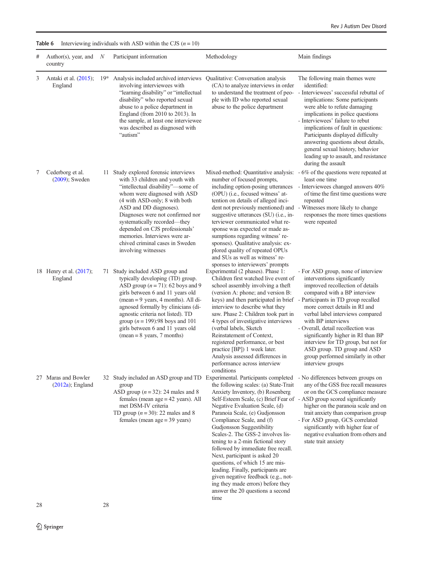| #  | Author(s), year, and<br>country            | N   | Participant information                                                                                                                                                                                                                                                                                                                                                                                        | Methodology                                                                                                                                                                                                                                                                                                                                                                                                                                                                                                                                                                                                                | Main findings                                                                                                                                                                                                                                                                                                                                                                                                                                                                      |
|----|--------------------------------------------|-----|----------------------------------------------------------------------------------------------------------------------------------------------------------------------------------------------------------------------------------------------------------------------------------------------------------------------------------------------------------------------------------------------------------------|----------------------------------------------------------------------------------------------------------------------------------------------------------------------------------------------------------------------------------------------------------------------------------------------------------------------------------------------------------------------------------------------------------------------------------------------------------------------------------------------------------------------------------------------------------------------------------------------------------------------------|------------------------------------------------------------------------------------------------------------------------------------------------------------------------------------------------------------------------------------------------------------------------------------------------------------------------------------------------------------------------------------------------------------------------------------------------------------------------------------|
| 3  | Antaki et al. (2015);<br>England           | 19* | Analysis included archived interviews<br>involving interviewees with<br>"learning disability" or "intellectual<br>disability" who reported sexual<br>abuse to a police department in<br>England (from 2010 to 2013). In<br>the sample, at least one interviewee<br>was described as diagnosed with<br>"autism"                                                                                                 | Qualitative: Conversation analysis<br>(CA) to analyze interviews in order<br>to understand the treatment of peo-<br>ple with ID who reported sexual<br>abuse to the police department                                                                                                                                                                                                                                                                                                                                                                                                                                      | The following main themes were<br>identified:<br>Interviewees' successful rebuttal of<br>implications: Some participants<br>were able to refute damaging<br>implications in police questions<br>- Interviewees' failure to rebut<br>implications of fault in questions:<br>Participants displayed difficulty<br>answering questions about details,<br>general sexual history, behavior<br>leading up to assault, and resistance<br>during the assault                              |
| 7  | Cederborg et al.<br>$(2009)$ ; Sweden      |     | 11 Study explored forensic interviews<br>with 33 children and youth with<br>"intellectual disability"-some of<br>whom were diagnosed with ASD<br>(4 with ASD-only; 8 with both<br>ASD and DD diagnoses).<br>Diagnoses were not confirmed nor<br>systematically recorded-they<br>depended on CJS professionals'<br>memories. Interviews were ar-<br>chived criminal cases in Sweden<br>involving witnesses      | Mixed-method: Quantitative analysis:<br>number of focused prompts,<br>including option-posing utterances<br>(OPU) (i.e., focused witness' at-<br>tention on details of alleged inci-<br>dent not previously mentioned) and<br>suggestive utterances (SU) (i.e., in-<br>terviewer communicated what re-<br>sponse was expected or made as-<br>sumptions regarding witness' re-<br>sponses). Qualitative analysis: ex-<br>plored quality of repeated OPUs<br>and SUs as well as witness' re-<br>sponses to interviewers' prompts                                                                                             | 6% of the questions were repeated at<br>$\overline{\phantom{a}}$<br>least one time<br>Interviewees changed answers 40%<br>of time the first time questions were<br>repeated<br>Witnesses more likely to change<br>$\blacksquare$<br>responses the more times questions<br>were repeated                                                                                                                                                                                            |
|    | 18 Henry et al. (2017);<br>England         |     | 71 Study included ASD group and<br>typically developing (TD) group.<br>ASD group $(n = 71)$ : 62 boys and 9<br>girls between 6 and 11 years old<br>$(\text{mean} = 9 \text{ years}, 4 \text{ months})$ . All di-<br>agnosed formally by clinicians (di-<br>agnostic criteria not listed). TD<br>group ( $n = 199$ ):98 boys and 101<br>girls between 6 and 11 years old<br>$mean = 8 \text{ years}, 7 months)$ | Experimental (2 phases). Phase 1:<br>Children first watched live event of<br>school assembly involving a theft<br>(version A: phone; and version B:<br>keys) and then participated in brief<br>interview to describe what they<br>saw. Phase 2: Children took part in<br>4 types of investigative interviews<br>(verbal labels, Sketch<br>Reinstatement of Context,<br>registered performance, or best<br>practice [BP]) 1 week later.<br>Analysis assessed differences in<br>performance across interview<br>conditions                                                                                                   | - For ASD group, none of interview<br>interventions significantly<br>improved recollection of details<br>compared with a BP interview<br>Participants in TD group recalled<br>more correct details in RI and<br>verbal label interviews compared<br>with BP interviews<br>- Overall, detail recollection was<br>significantly higher in RI than BP<br>interview for TD group, but not for<br>ASD group. TD group and ASD<br>group performed similarly in other<br>interview groups |
|    | 27 Maras and Bowler<br>$(2012a)$ ; England |     | 32 Study included an ASD group and TD Experimental. Participants completed - No differences between groups on<br>group<br>ASD group $(n=32)$ : 24 males and 8<br>females (mean $age = 42$ years). All<br>met DSM-IV criteria<br>TD group $(n = 30)$ : 22 males and 8<br>females (mean $age = 39$ years)                                                                                                        | the following scales: (a) State-Trait<br>Anxiety Inventory, (b) Rosenberg<br>Self-Esteem Scale, (c) Brief Fear of - ASD group scored significantly<br>Negative Evaluation Scale, (d)<br>Paranoia Scale, (e) Gudjonsson<br>Compliance Scale, and (f)<br>Gudjonsson Suggestibility<br>Scales-2. The GSS-2 involves lis-<br>tening to a 2-min fictional story<br>followed by immediate free recall.<br>Next, participant is asked 20<br>questions, of which 15 are mis-<br>leading. Finally, participants are<br>given negative feedback (e.g., not-<br>ing they made errors) before they<br>answer the 20 questions a second | any of the GSS free recall measures<br>or on the GCS compliance measure<br>higher on the paranoia scale and on<br>trait anxiety than comparison group<br>- For ASD group, GCS correlated<br>significantly with higher fear of<br>negative evaluation from others and<br>state trait anxiety                                                                                                                                                                                        |
| 28 |                                            | 28  |                                                                                                                                                                                                                                                                                                                                                                                                                | time                                                                                                                                                                                                                                                                                                                                                                                                                                                                                                                                                                                                                       |                                                                                                                                                                                                                                                                                                                                                                                                                                                                                    |

#### <span id="page-16-0"></span>**Table 6** Interviewing individuals with ASD within the CJS  $(n = 10)$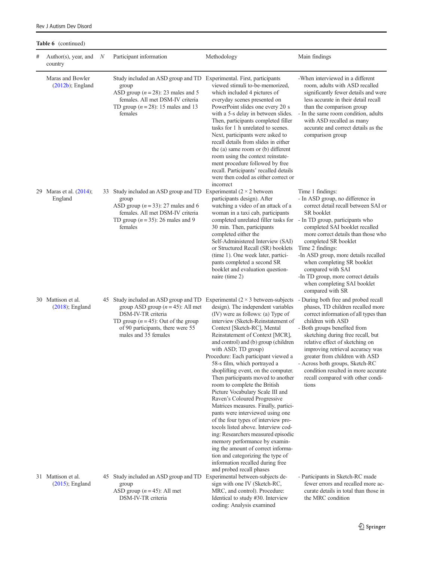#### Table 6 (continued)

| # | Author(s), year, and<br>country          | $\boldsymbol{N}$ | Participant information                                                                                                                                                                                                                               | Methodology                                                                                                                                                                                                                                                                                                                                                                                                                                                                                                                                                                                                                                                                                                                                                                                                                                                                         | Main findings                                                                                                                                                                                                                                                                                                                                                                                                                                 |
|---|------------------------------------------|------------------|-------------------------------------------------------------------------------------------------------------------------------------------------------------------------------------------------------------------------------------------------------|-------------------------------------------------------------------------------------------------------------------------------------------------------------------------------------------------------------------------------------------------------------------------------------------------------------------------------------------------------------------------------------------------------------------------------------------------------------------------------------------------------------------------------------------------------------------------------------------------------------------------------------------------------------------------------------------------------------------------------------------------------------------------------------------------------------------------------------------------------------------------------------|-----------------------------------------------------------------------------------------------------------------------------------------------------------------------------------------------------------------------------------------------------------------------------------------------------------------------------------------------------------------------------------------------------------------------------------------------|
|   | Maras and Bowler<br>$(2012b)$ ; England  |                  | Study included an ASD group and TD Experimental. First, participants<br>group<br>ASD group $(n = 28)$ : 23 males and 5<br>females. All met DSM-IV criteria<br>TD group $(n = 28)$ : 15 males and 13<br>females                                        | viewed stimuli to-be-memorized,<br>which included 4 pictures of<br>everyday scenes presented on<br>PowerPoint slides one every 20 s<br>with a 5-s delay in between slides.<br>Then, participants completed filler<br>tasks for 1 h unrelated to scenes.<br>Next, participants were asked to<br>recall details from slides in either<br>the (a) same room or (b) different<br>room using the context reinstate-<br>ment procedure followed by free<br>recall. Participants' recalled details<br>were then coded as either correct or<br>incorrect                                                                                                                                                                                                                                                                                                                                    | -When interviewed in a different<br>room, adults with ASD recalled<br>significantly fewer details and were<br>less accurate in their detail recall<br>than the comparison group<br>- In the same room condition, adults<br>with ASD recalled as many<br>accurate and correct details as the<br>comparison group                                                                                                                               |
|   | 29 Maras et al. (2014);<br>England       |                  | 33 Study included an ASD group and TD Experimental $(2 \times 2)$ between<br>group<br>ASD group $(n = 33)$ : 27 males and 6<br>females. All met DSM-IV criteria<br>TD group $(n = 35)$ : 26 males and 9<br>females                                    | participants design). After<br>watching a video of an attack of a<br>woman in a taxi cab, participants<br>completed unrelated filler tasks for - In TD group, participants who<br>30 min. Then, participants<br>completed either the<br>Self-Administered Interview (SAI)<br>or Structured Recall (SR) booklets<br>(time 1). One week later, partici-<br>pants completed a second SR<br>booklet and evaluation question-<br>naire (time 2)                                                                                                                                                                                                                                                                                                                                                                                                                                          | Time 1 findings:<br>- In ASD group, no difference in<br>correct detail recall between SAI or<br>SR booklet<br>completed SAI booklet recalled<br>more correct details than those who<br>completed SR booklet<br>Time 2 findings:<br>-In ASD group, more details recalled<br>when completing SR booklet<br>compared with SAI<br>-In TD group, more correct details<br>when completing SAI booklet<br>compared with SR                           |
|   | 30 Mattison et al.<br>$(2018)$ ; England |                  | 45 Study included an ASD group and TD Experimental $(2 \times 3)$ between-subjects<br>group ASD group $(n = 45)$ : All met<br>DSM-IV-TR criteria<br>TD group $(n=45)$ : Out of the group<br>of 90 participants, there were 55<br>males and 35 females | design). The independent variables<br>(IV) were as follows: (a) Type of<br>interview (Sketch-Reinstatement of<br>Context [Sketch-RC], Mental<br>Reinstatement of Context [MCR],<br>and control) and (b) group (children<br>with ASD; TD group)<br>Procedure: Each participant viewed a<br>58-s film, which portrayed a<br>shoplifting event, on the computer.<br>Then participants moved to another<br>room to complete the British<br>Picture Vocabulary Scale III and<br>Raven's Coloured Progressive<br>Matrices measures. Finally, partici-<br>pants were interviewed using one<br>of the four types of interview pro-<br>tocols listed above. Interview cod-<br>ing: Researchers measured episodic<br>memory performance by examin-<br>ing the amount of correct informa-<br>tion and categorizing the type of<br>information recalled during free<br>and probed recall phases | - During both free and probed recall<br>phases, TD children recalled more<br>correct information of all types than<br>children with ASD<br>- Both groups benefited from<br>sketching during free recall, but<br>relative effect of sketching on<br>improving retrieval accuracy was<br>greater from children with ASD<br>- Across both groups, Sketch-RC<br>condition resulted in more accurate<br>recall compared with other condi-<br>tions |
|   | 31 Mattison et al.<br>$(2015)$ ; England |                  | 45 Study included an ASD group and TD Experimental between-subjects de-<br>group<br>ASD group $(n=45)$ : All met<br>DSM-IV-TR criteria                                                                                                                | sign with one IV (Sketch-RC,<br>MRC, and control). Procedure:<br>Identical to study #30. Interview<br>coding: Analysis examined                                                                                                                                                                                                                                                                                                                                                                                                                                                                                                                                                                                                                                                                                                                                                     | - Participants in Sketch-RC made<br>fewer errors and recalled more ac-<br>curate details in total than those in<br>the MRC condition                                                                                                                                                                                                                                                                                                          |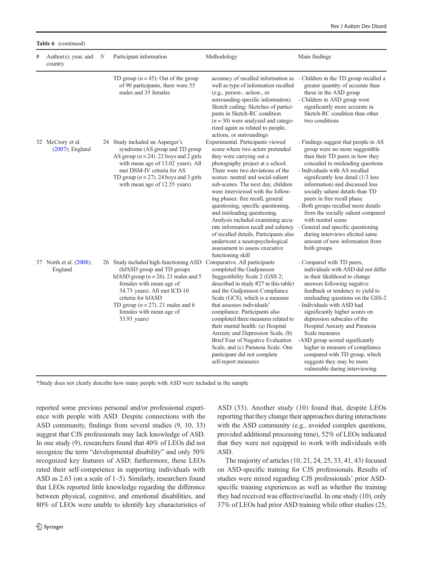Table 6 (continued)

| # | Author(s), year, and<br>country         | $\boldsymbol{N}$ | Participant information                                                                                                                                                                                                                                                                                              | Methodology                                                                                                                                                                                                                                                                                                                                                                                                                                                                                                                                                                                                         | Main findings                                                                                                                                                                                                                                                                                                                                                                                                                                                                                                                                          |
|---|-----------------------------------------|------------------|----------------------------------------------------------------------------------------------------------------------------------------------------------------------------------------------------------------------------------------------------------------------------------------------------------------------|---------------------------------------------------------------------------------------------------------------------------------------------------------------------------------------------------------------------------------------------------------------------------------------------------------------------------------------------------------------------------------------------------------------------------------------------------------------------------------------------------------------------------------------------------------------------------------------------------------------------|--------------------------------------------------------------------------------------------------------------------------------------------------------------------------------------------------------------------------------------------------------------------------------------------------------------------------------------------------------------------------------------------------------------------------------------------------------------------------------------------------------------------------------------------------------|
|   |                                         |                  | TD group $(n = 45)$ : Out of the group<br>of 90 participants, there were 55<br>males and 35 females                                                                                                                                                                                                                  | well as type of information recalled<br>(e.g., person-, action-, or<br>surrounding-specific information).<br>Sketch coding: Sketches of partici-<br>pants in Sketch-RC condition<br>$(n=30)$ were analyzed and catego-<br>rized again as related to people,<br>actions, or surroundings                                                                                                                                                                                                                                                                                                                             | accuracy of recalled information as - Children in the TD group recalled a<br>greater quantity of accurate than<br>those in the ASD group<br>Children in ASD group were<br>significantly more accurate in<br>Sketch-RC condition than other<br>two conditions                                                                                                                                                                                                                                                                                           |
|   | 32 McCrory et al.<br>$(2007)$ ; England |                  | 24 Study included an Asperger's<br>syndrome (AS group and TD group<br>AS group ( $n = 24$ ). 22 boys and 2 girls<br>with mean age of 13.02 years). All<br>met DSM-IV criteria for AS<br>TD group ( $n = 27$ ). 24 boys and 3 girls<br>with mean age of 12.55 years)                                                  | Experimental. Participants viewed<br>scene where two actors pretended<br>they were carrying out a<br>photography project at a school.<br>There were two deviations of the<br>scenes: neutral and social-salient<br>sub-scenes. The next day, children<br>were interviewed with the follow-<br>ing phases: free recall, general<br>questioning, specific questioning,<br>and misleading questioning.<br>Analysis included examining accu-<br>rate information recall and saliency<br>of recalled details. Participants also<br>underwent a neuropsychological<br>assessment to assess executive<br>functioning skill | - Findings suggest that people in AS<br>group were no more suggestible<br>than their TD peers in how they<br>conceded to misleading questions<br>- Individuals with AS recalled<br>significantly less detail (1/3 less<br>information) and discussed less<br>socially salient details than TD<br>peers in free recall phase<br>- Both groups recalled more details<br>from the socially salient compared<br>with neutral scene<br>General and specific questioning<br>during interviews elicited same<br>amount of new information from<br>both groups |
|   | 37 North et al. (2008);<br>England      |                  | 26 Study included high-functioning ASD Comparative. All participants<br>(hfASD group and TD groups<br>hfASD group ( $n = 26$ ). 21 males and 5<br>females with mean age of<br>34.73 years). All met ICD-10<br>criteria for hfASD<br>TD group $(n = 27)$ . 21 males and 6<br>females with mean age of<br>33.93 years) | completed the Gudjonsson<br>Suggestibility Scale 2 (GSS 2;<br>described in study #27 in this table)<br>and the Gudjonsson Compliance<br>Scale (GCS), which is a measure<br>that assesses individuals'<br>compliance. Participants also<br>completed three measures related to<br>their mental health: (a) Hospital<br>Anxiety and Depression Scale, (b)<br>Brief Fear of Negative Evaluation<br>Scale, and (c) Paranoia Scale. One<br>participant did not complete<br>self-report measures                                                                                                                          | - Compared with TD peers,<br>individuals with ASD did not differ<br>in their likelihood to change<br>answers following negative<br>feedback or tendency to yield to<br>misleading questions on the GSS-2<br>- Individuals with ASD had<br>significantly higher scores on<br>depression subscales of the<br>Hospital Anxiety and Paranoia<br>Scale measures<br>-ASD group scored significantly<br>higher in measure of compliance<br>compared with TD group, which<br>suggests they may be more<br>vulnerable during interviewing                       |

\*Study does not clearly describe how many people with ASD were included in the sample

reported some previous personal and/or professional experience with people with ASD. Despite connections with the ASD community, findings from several studies (9, 10, 33) suggest that CJS professionals may lack knowledge of ASD. In one study (9), researchers found that 40% of LEOs did not recognize the term "developmental disability" and only 50% recognized key features of ASD; furthermore, these LEOs rated their self-competence in supporting individuals with ASD as 2.63 (on a scale of 1–5). Similarly, researchers found that LEOs reported little knowledge regarding the difference between physical, cognitive, and emotional disabilities, and 80% of LEOs were unable to identify key characteristics of ASD (33). Another study (10) found that, despite LEOs reporting that they change their approaches during interactions with the ASD community (e.g., avoided complex questions, provided additional processing time), 52% of LEOs indicated that they were not equipped to work with individuals with ASD.

The majority of articles (10, 21, 24, 25, 33, 41, 43) focused on ASD-specific training for CJS professionals. Results of studies were mixed regarding CJS professionals' prior ASDspecific training experiences as well as whether the training they had received was effective/useful. In one study (10), only 37% of LEOs had prior ASD training while other studies (25,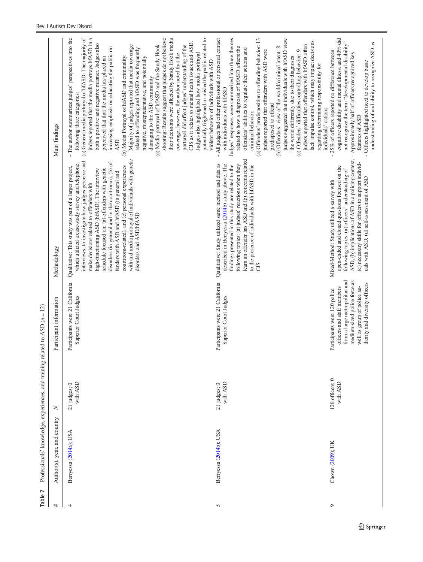<span id="page-19-0"></span>

| $_{\rm \#}$ | Author(s), year, and country | $\geq$                      | Participant information                                                                                                                                                                      | Methodology                                                                                                                                                                                                                                                                                                                                                                                                                                                                                                                                                | Main findings                                                                                                                                                                                                                                                                                                                                                                                                                                                                                                                                                                                                                                                                                                                                                                                                                                                                                                                                                                                                                                                                                |
|-------------|------------------------------|-----------------------------|----------------------------------------------------------------------------------------------------------------------------------------------------------------------------------------------|------------------------------------------------------------------------------------------------------------------------------------------------------------------------------------------------------------------------------------------------------------------------------------------------------------------------------------------------------------------------------------------------------------------------------------------------------------------------------------------------------------------------------------------------------------|----------------------------------------------------------------------------------------------------------------------------------------------------------------------------------------------------------------------------------------------------------------------------------------------------------------------------------------------------------------------------------------------------------------------------------------------------------------------------------------------------------------------------------------------------------------------------------------------------------------------------------------------------------------------------------------------------------------------------------------------------------------------------------------------------------------------------------------------------------------------------------------------------------------------------------------------------------------------------------------------------------------------------------------------------------------------------------------------|
| 4           | Berryessa (2014a); USA       | with ASD<br>21 judges; 0    | Participants were 21 California<br>Superior Court Judges                                                                                                                                     | with and media portrayal of individuals with genetic<br>interviews, to investigate how judges perceive and<br>disorders (in general and in the courtroom), (b) of-<br>which utilized a case-study survey and telephone<br>courtroom-related), and (c) personal experiences<br>Qualitative: This study was part of a larger project,<br>schedule focused on: (a) offenders with genetic<br>high-functioning ASD (hfASD). The interview<br>fenders with ASD and hfASD (in general and<br>make decisions related to offenders with<br>disorders and ASD/hfASD | (a) General media portrayal of hfASD: The majority of<br>judges reported that the media portrays hfASD in a<br>shooting: Results suggest that judges do not believe<br>- The author summarizes judges' perspectives into the<br>their decisions were affected by Sandy Hook media<br>potentially frightened or misled the public related to<br>CJS as it relates to mental health issues and ASD.<br>both a positive and negative manner. Judges also<br>(c) Media portrayal of hfASD and the Sandy Hook<br>Majority of judges reported that media coverage<br>portrayal did affect judges' understanding of the<br>increasing emphasis on educating the public on<br>related to offending and hfASD was frequently<br>Judges also highlighted how media portrayal<br>coverage; however, the author noted that the<br>(b) Media Portrayal of hfASD and criminality:<br>perceived that that the media has placed an<br>negative, misrepresentative, and potentially<br>violent behavior of individuals with ASD<br>damaging to the ASD community<br>following three categories:<br><b>ASD</b> |
| $\sim$      | Berryessa (2014b); USA       | with ASD<br>21 judges; 0    | Participants were 21 California<br>Superior Court Judges                                                                                                                                     | learn an offender has ASD and (b) concerns related<br>Qualitative: Study utilized same method and data as<br>described in Berryessa (2014b) study above. The<br>following topics: (a) judges' reactions when they<br>findings presented in this study are related to the<br>to the presence of individuals with hfASD in the<br>CJS                                                                                                                                                                                                                        | - All judges had either professional or personal contact<br>Judges' responses were summarized into three themes<br>(a) Offenders' predisposition to offending behavior: 13<br>judges suggested that individuals with hfASD view<br>lack impulse control, which may impact decisions<br>judges reported that offenders with hfASD often<br>(b) Offenders' view of the world/criminal intent: 8<br>related to how a diagnosis of hfASD affects the<br>offenders' abilities to regulate their actions and<br>judges reported that offenders with ASD were<br>(c) Offenders' difficulties controlling behavior: 9<br>the world differently due to their diagnoses<br>regarding determining responsibility for<br>with individuals with hfASD<br>predisposed to offend<br>individuals' actions<br>criminal behavior:                                                                                                                                                                                                                                                                              |
| $\circ$     | Chown (2009); UK             | 120 officers; 0<br>with ASD | from a large metropolitan and<br>medium-sized police force as<br>thority and diversity officers<br>well as group of police au-<br>officers and staff members<br>Participants were 120 police | ASD, (b) implications of ASD in a policing context,<br>(c) necessary skills for officers to support individ-<br>open-ended and closed questions focused on the<br>following topics: (a) officers' understanding of<br>uals with ASD, (d) self-assessment of ASD<br>Mixed-Method: Study utilized a survey with                                                                                                                                                                                                                                              | cognitive disability and mental illness, and 40% did<br>not recognize the term "developmental disability"<br>understanding of and ability to recognize ASD as<br>-25% of officers reported no difference between<br>- Approximately half of officers recognized key<br>- Officers highlighted need to develop basic<br>features of ASD                                                                                                                                                                                                                                                                                                                                                                                                                                                                                                                                                                                                                                                                                                                                                       |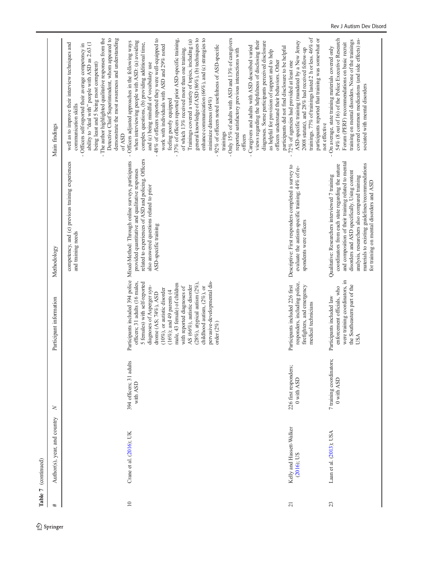|                 | Table 7 (continued)                      |                                        |                                                                                                                                                                                                                                                                                                                                                                                                          |                                                                                                                                                                                                                                                                                                                                                              |                                                                                                                                                                                                                                                                                                                                                                                                                                                                                                                                                                                                                                                                                                                                                                                                                                                                                                                                                                                                                                                                                                            |
|-----------------|------------------------------------------|----------------------------------------|----------------------------------------------------------------------------------------------------------------------------------------------------------------------------------------------------------------------------------------------------------------------------------------------------------------------------------------------------------------------------------------------------------|--------------------------------------------------------------------------------------------------------------------------------------------------------------------------------------------------------------------------------------------------------------------------------------------------------------------------------------------------------------|------------------------------------------------------------------------------------------------------------------------------------------------------------------------------------------------------------------------------------------------------------------------------------------------------------------------------------------------------------------------------------------------------------------------------------------------------------------------------------------------------------------------------------------------------------------------------------------------------------------------------------------------------------------------------------------------------------------------------------------------------------------------------------------------------------------------------------------------------------------------------------------------------------------------------------------------------------------------------------------------------------------------------------------------------------------------------------------------------------|
| $\ddot{}$       | Author(s), year, and country             | $\geq$                                 | Participant information                                                                                                                                                                                                                                                                                                                                                                                  | Methodology                                                                                                                                                                                                                                                                                                                                                  | Main findings                                                                                                                                                                                                                                                                                                                                                                                                                                                                                                                                                                                                                                                                                                                                                                                                                                                                                                                                                                                                                                                                                              |
|                 |                                          |                                        |                                                                                                                                                                                                                                                                                                                                                                                                          | competency, and (e) previous training experiences<br>and training needs                                                                                                                                                                                                                                                                                      | Detective Chief Superintendent, whom appeared to<br>- The author highlighted qualitative responses from the<br>demonstrate the most awareness and understanding<br>well as to improve their interview techniques and<br>ability to "deal with" people with ASD as 2.63 (1<br>Officers self-reported their average competency in<br>being least and 5 being most competent)<br>communication skills<br>of ASD                                                                                                                                                                                                                                                                                                                                                                                                                                                                                                                                                                                                                                                                                               |
| $10\,$          | Crane et al. (2016); UK                  | 394 officers; 31 adults<br>with ASD    | pervasive-developmental dis-<br>officers; 31 adults (16 males,<br>5 females) with self-reported<br>$(28\%)$ , atypical autism $(2\%)$ ,<br>male, 43 female) of children<br>AS (66%), autistic disorder<br>childhood autism, (2%), or<br>diagnoses of Asperger syn-<br>with reported diagnoses of<br>(10%), or autistic disorder<br>$(16\%)$ ; and 49 parents (4<br>drome (AS; 74%), ASD<br>order $(2\%)$ | related to experiences of ASD and policing. Officers<br>Participants included 394 police Mixed-Method: Through online surveys, participants<br>provided quantitative and qualitative responses<br>also answered questions related to prior<br>ASD-specific training                                                                                          | enhance communication (66%), and (c) strategies to<br>- Only 15% of adults with ASD and 13% of caregivers<br>48% of officers reported they were well-equipped to<br>general knowledge of ASD (86%), (b) techniques to<br>37% of officers reported prior ASD-specific training,<br>Trainings covered a variety of topics, including (a)<br>- Officers adjusted approaches in the following ways<br>when interviewing people with ASD: (a) avoiding<br>views regarding the helpfulness of disclosing their<br>diagnoses. Some participants perceived disclosure<br>complex questions, (b) providing additional time,<br>work with individuals with ASD and 29% noted<br>-92% of officers noted usefulness of ASD-specific<br>Caregivers and adults with ASD described varied<br>of which 13% received more than one training.<br>reported satisfactory previous interactions with<br>as helpful for provision of support and to help<br>officers understand their behaviors. Other<br>and (c) being mindful of vocabulary use<br>minimize distress (64%)<br>feeling poorly equipped<br>trainings<br>officers |
| $\overline{21}$ | Kelly and Hassett-Walker<br>$(2016);$ US | 226 first responders;<br>0 with ASD    | responders, including police,<br>Participants included 226 first<br>firefighters, and emergency<br>medical technicians                                                                                                                                                                                                                                                                                   | Descriptive: First responders completed a survey to<br>evaluate the autism-specific training; 44% of re-<br>spondents were officers                                                                                                                                                                                                                          | trainings. 77% of trainings lasted 2 h or less. 46% of<br>participants reported that training was somewhat or<br>ASD-specific training (mandated by a New Jersey<br>participants did not find disclosure to be helpful<br>2008 statute), and 28% had received follow-up<br>72% of agencies had provided at least one                                                                                                                                                                                                                                                                                                                                                                                                                                                                                                                                                                                                                                                                                                                                                                                       |
| 23              | Laan et al. (2013); USA                  | 7 training coordinators;<br>0 with ASD | were training coordinators, in<br>the Southeastern part of the<br>enforcement officials, who<br>Participants included law<br>USA                                                                                                                                                                                                                                                                         | and composition of their training related to mental<br>materials to existing guidelines/recommendations<br>coordinators from each state regarding the nature<br>disorders and ASD specifically. Using content<br>Qualitative: Researchers interviewed 7 training<br>analysis, researchers also compared training<br>for training on mental disorders and ASD | 54% (8 out of 16) of the Police Executive Research<br>covered common medications (and side effects) as-<br>training on mental disorders. None of the trainings<br>Forum (PERF) recommendations on basic recruit<br>- On average, state training materials covered only<br>sociated with mental disorders<br>not effective                                                                                                                                                                                                                                                                                                                                                                                                                                                                                                                                                                                                                                                                                                                                                                                  |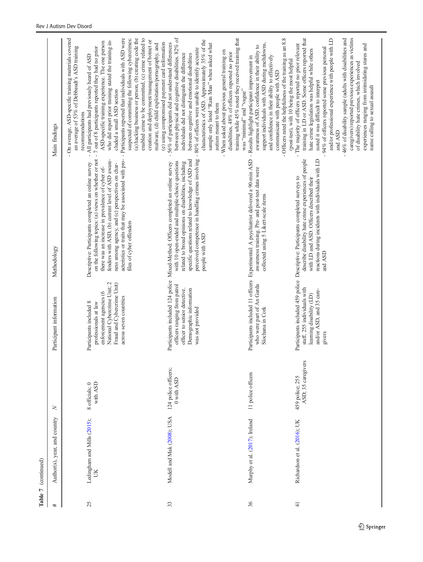| $\ddagger$    | Author(s), year, and country      | $\geq$                                | Participant information                                                                                                                                           | Methodology                                                                                                                                                                                                                                                                                                                                                                                                          | Main findings                                                                                                                                                                                                                                                                                                                                                                                                                                                                                                                                                                                                                   |
|---------------|-----------------------------------|---------------------------------------|-------------------------------------------------------------------------------------------------------------------------------------------------------------------|----------------------------------------------------------------------------------------------------------------------------------------------------------------------------------------------------------------------------------------------------------------------------------------------------------------------------------------------------------------------------------------------------------------------|---------------------------------------------------------------------------------------------------------------------------------------------------------------------------------------------------------------------------------------------------------------------------------------------------------------------------------------------------------------------------------------------------------------------------------------------------------------------------------------------------------------------------------------------------------------------------------------------------------------------------------|
| 25            | Ledingham and Mills (2015);<br>JK | with ASD<br>8 officials; 0            | National Cybercrime Unit; 2<br>Fraud and Cybercrime Unit)<br>enforcement agencies (6<br>across seven countries<br>Participants included 8<br>professionals at law | on the following topics: (a) views on whether or not - 7 out of 8 participants reported they had no prior<br>acteristics or traits that may be associated with pro-<br>fenders with ASD, (b) current level of ASD aware-<br>Descriptive: Participants completed an online survey<br>ness among agency, and (c) perspectives on char-<br>there was an increase in prevalence of cyber of-<br>files of cyber offenders | - On average, ASD-specific training materials covered<br>- Participants reported that individuals with ASD were<br>(a) hacking business or person, (b) creating code the<br>enabled crime to be committed, (c) crime related to<br>suspected of committing the following cybercrimes:<br>creation and deployment/management of botnet or<br>who did report prior training stated the training in-<br>ASD-specific training experience. The one person<br>an average of 53% of Debbaudt's ASD training<br>- All participants had previously heard of ASD<br>cluded a small ASD section<br>recommendations                        |
| 33            | Modell and Mak (2008); USA        | 124 police officers;<br>0 with ASD    | Participants included 124 police<br>officers ranging from patrol<br>Demographic information<br>officer to senior detective.<br>was not provided                   | perceived competence in handling crimes involving<br>specific questions related to knowledge of ASD and<br>with 10 open-ended and multiple-choice questions<br>related to broad opinions on disabilities, including<br>Mixed-Method: Officers completed an online survey<br>people with ASD                                                                                                                          | between physical and cognitive disabilities. 82% of<br>characteristics of ASD. Approximately 35% of the<br>(e) using compromised payment card information<br>malware, (d) child exploitation/pornography, and<br>56% of participants did not understand differences<br>sample only listed "Rain Man" when asked what<br>-80% of officers were unable to identify accurate<br>When asked about previous general training on<br>disabilities, 48% of officers reported no prior<br>individuals did not distinguish the difference<br>between cognitive and emotional disabilities<br>autism meant to them                         |
| 36            | Murphy et al. (2017); Ireland     | 11 police officers                    | who were part of An Garda<br>Sîochana in Cork                                                                                                                     | Participants included 11 officers Experimental: A psychiatrist delivered a 90-min ASD<br>awareness training. Pre- and post-test data were<br>collected using 5 Likert-scale items                                                                                                                                                                                                                                    | training while 45% noted they received training that<br>Officers rated the helpfulness of the training as an 8.8<br>support individuals with ASD during meltdowns,<br>awareness of ASD, confidence in their ability to<br>and confidence in their ability to effectively<br>- Results highlight participant improvement in<br>communicate with people with ASD<br>"sugus" bus "laminim" asw                                                                                                                                                                                                                                     |
| $\frac{1}{4}$ | Richardson et al. (2016); UK      | ASD; 35 caregivers<br>459 police; 255 | staff, 255 individuals with<br>and/or ASD, and 35 care-<br>learning disability (LD)<br>givers                                                                     | describe disability hate crime experiences of people<br>reactions during incidents with individuals with LD<br>Participants included 459 police Descriptive: Participants completed surveys to<br>with LD and ASD. Officers described their<br>and ASD                                                                                                                                                               | training in LD or ASD. Some officers reported that<br>$-46\%$ of disability sample (adults with disabilities and<br>and/or professional experience with people with LD<br>caregivers) reported previous experiences as victims<br>The majority of officers reported no prior relevant<br>experiences ranging from intimidating stares and<br>94% of officers reported some previous personal<br>hate crime legislation was helpful while others<br>(post-test), with 10 being the most helpful<br>of disability hate crimes, which involved<br>noted it was difficult to interpret<br>name calling to sexual assault<br>and ASD |

Table 7 (continued)

Table 7 (continued)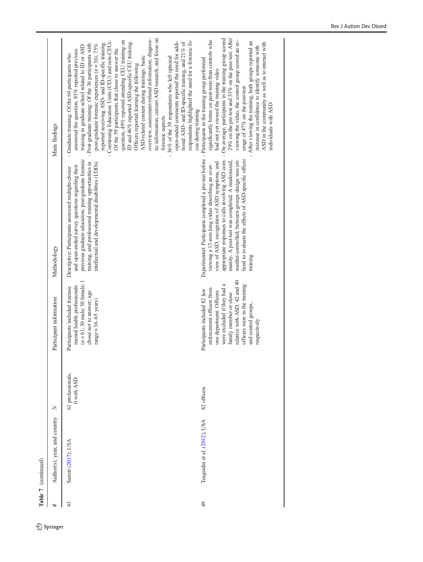Table 7 (continued) Table 7 (continued)

| #             | Author(s), year, and country | $\geq$                          | Participant information                                                                                                                                                                                                                                | Methodology                                                                                                                                                                                                                                                                                                                                                                                     | Main findings                                                                                                                                                                                                                                                                                                                                                                                                                                                                                                                                                                                                                                                                                                                                                                                                                                                                                                                                                              |
|---------------|------------------------------|---------------------------------|--------------------------------------------------------------------------------------------------------------------------------------------------------------------------------------------------------------------------------------------------------|-------------------------------------------------------------------------------------------------------------------------------------------------------------------------------------------------------------------------------------------------------------------------------------------------------------------------------------------------------------------------------------------------|----------------------------------------------------------------------------------------------------------------------------------------------------------------------------------------------------------------------------------------------------------------------------------------------------------------------------------------------------------------------------------------------------------------------------------------------------------------------------------------------------------------------------------------------------------------------------------------------------------------------------------------------------------------------------------------------------------------------------------------------------------------------------------------------------------------------------------------------------------------------------------------------------------------------------------------------------------------------------|
| $\frac{4}{3}$ | Sarrett (2017); USA          | 61 professionals;<br>0 with ASD | $(n = 61; 30$ male; 30 female; 1<br>mental health professionals<br>Participants included forensic<br>chose not to answer; age<br>range = $36-65$ years)                                                                                                | previous graduate education, post-graduate forensic<br>training, and professional training opportunities in<br>intellectual and developmental disabilities (I/DDs)<br>and open-ended survey questions regarding their<br>Descriptive: Participants answered multiple-choice                                                                                                                     | overview, assessment-related information, diagnos-<br>tic information, current ASD research, and focus on<br>question, 49% reported attending CEU training on<br>respondents highlighted the need for a forensic fo-<br>Continuing Education Units (CEU) and non-CEUs:<br>ID and 46% reported ASD-specific CEU training.<br>open-ended comments reported the need for addi-<br>tional ASD- and ID-specific training, and 21% of<br>reported receiving ASD- and ID-specific training<br>post-graduate forensic experiences ( $n = 36$ ), 75%<br>- Post-graduate training: Of the 36 participants with<br>training in graduate school related to ID or ASD<br>Of the 59 participants that chose to answer the<br>answered the question, 83% reported previous<br>Graduate training: Of the 60 participants who<br>ASD-related content during trainings: basic<br>36% of the 39 respondents who left optional<br>Officers reported learning the following<br>forensic aspects |
| 49            | Teagardin et al. (2012); USA | 82 officers                     | relative with ASD. 42 and 40<br>were excluded if they had a<br>officers were in the training<br>enforcement officers from<br>Participants included 82 law<br>one department. Officers<br>family member or close<br>and control groups,<br>respectively | Experimental: Participants completed a pre-test before<br>appropriate responses to calls involving ASD com-<br>waitlist-controlled, between-groups design was uti-<br>lized to evaluate the effects of ASD-specific officer<br>munity. A post-test was completed. A randomized,<br>view of ASD, recognition of ASD symptoms, and<br>viewing a 13-min long video describing an over-<br>training | - On average, participants in the training group scored<br>29% on the pre-test and 53% on the post-test. After<br>significantly better on post-tests than controls who<br>viewing the video, the control group scored an av-<br>- After viewing the training, both groups reported an<br>ASD in the community as well as to interact with<br>increase in confidence to identify someone with<br>- Participants in the training group performed<br>had not yet viewed the training video<br>erage of 47% on the post-test<br>individuals with ASD<br>cus during training                                                                                                                                                                                                                                                                                                                                                                                                    |
|               |                              |                                 |                                                                                                                                                                                                                                                        |                                                                                                                                                                                                                                                                                                                                                                                                 |                                                                                                                                                                                                                                                                                                                                                                                                                                                                                                                                                                                                                                                                                                                                                                                                                                                                                                                                                                            |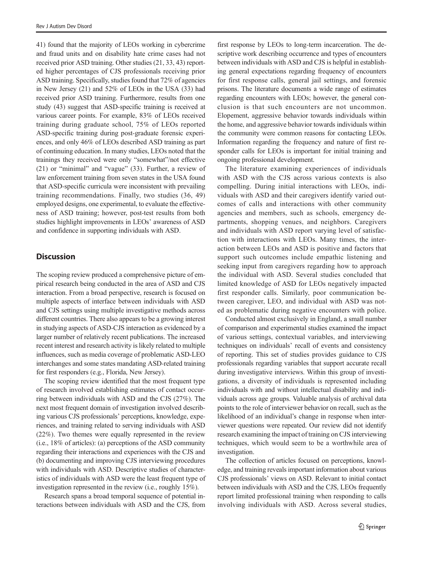41) found that the majority of LEOs working in cybercrime and fraud units and on disability hate crime cases had not received prior ASD training. Other studies (21, 33, 43) reported higher percentages of CJS professionals receiving prior ASD training. Specifically, studies found that 72% of agencies in New Jersey (21) and 52% of LEOs in the USA (33) had received prior ASD training. Furthermore, results from one study (43) suggest that ASD-specific training is received at various career points. For example, 83% of LEOs received training during graduate school, 75% of LEOs reported ASD-specific training during post-graduate forensic experiences, and only 46% of LEOs described ASD training as part of continuing education. In many studies, LEOs noted that the trainings they received were only "somewhat"/not effective (21) or "minimal" and "vague" (33). Further, a review of law enforcement training from seven states in the USA found that ASD-specific curricula were inconsistent with prevailing training recommendations. Finally, two studies (36, 49) employed designs, one experimental, to evaluate the effectiveness of ASD training; however, post-test results from both studies highlight improvements in LEOs' awareness of ASD and confidence in supporting individuals with ASD.

#### **Discussion**

The scoping review produced a comprehensive picture of empirical research being conducted in the area of ASD and CJS interaction. From a broad perspective, research is focused on multiple aspects of interface between individuals with ASD and CJS settings using multiple investigative methods across different countries. There also appears to be a growing interest in studying aspects of ASD-CJS interaction as evidenced by a larger number of relatively recent publications. The increased recent interest and research activity is likely related to multiple influences, such as media coverage of problematic ASD-LEO interchanges and some states mandating ASD-related training for first responders (e.g., Florida, New Jersey).

The scoping review identified that the most frequent type of research involved establishing estimates of contact occurring between individuals with ASD and the CJS (27%). The next most frequent domain of investigation involved describing various CJS professionals' perceptions, knowledge, experiences, and training related to serving individuals with ASD (22%). Two themes were equally represented in the review (i.e., 18% of articles): (a) perceptions of the ASD community regarding their interactions and experiences with the CJS and (b) documenting and improving CJS interviewing procedures with individuals with ASD. Descriptive studies of characteristics of individuals with ASD were the least frequent type of investigation represented in the review (i.e., roughly 15%).

Research spans a broad temporal sequence of potential interactions between individuals with ASD and the CJS, from

first response by LEOs to long-term incarceration. The descriptive work describing occurrence and types of encounters between individuals with ASD and CJS is helpful in establishing general expectations regarding frequency of encounters for first response calls, general jail settings, and forensic prisons. The literature documents a wide range of estimates regarding encounters with LEOs; however, the general conclusion is that such encounters are not uncommon. Elopement, aggressive behavior towards individuals within the home, and aggressive behavior towards individuals within the community were common reasons for contacting LEOs. Information regarding the frequency and nature of first responder calls for LEOs is important for initial training and ongoing professional development.

The literature examining experiences of individuals with ASD with the CJS across various contexts is also compelling. During initial interactions with LEOs, individuals with ASD and their caregivers identify varied outcomes of calls and interactions with other community agencies and members, such as schools, emergency departments, shopping venues, and neighbors. Caregivers and individuals with ASD report varying level of satisfaction with interactions with LEOs. Many times, the interaction between LEOs and ASD is positive and factors that support such outcomes include empathic listening and seeking input from caregivers regarding how to approach the individual with ASD. Several studies concluded that limited knowledge of ASD for LEOs negatively impacted first responder calls. Similarly, poor communication between caregiver, LEO, and individual with ASD was noted as problematic during negative encounters with police.

Conducted almost exclusively in England, a small number of comparison and experimental studies examined the impact of various settings, contextual variables, and interviewing techniques on individuals' recall of events and consistency of reporting. This set of studies provides guidance to CJS professionals regarding variables that support accurate recall during investigative interviews. Within this group of investigations, a diversity of individuals is represented including individuals with and without intellectual disability and individuals across age groups. Valuable analysis of archival data points to the role of interviewer behavior on recall, such as the likelihood of an individual's change in response when interviewer questions were repeated. Our review did not identify research examining the impact of training on CJS interviewing techniques, which would seem to be a worthwhile area of investigation.

The collection of articles focused on perceptions, knowledge, and training reveals important information about various CJS professionals' views on ASD. Relevant to initial contact between individuals with ASD and the CJS, LEOs frequently report limited professional training when responding to calls involving individuals with ASD. Across several studies,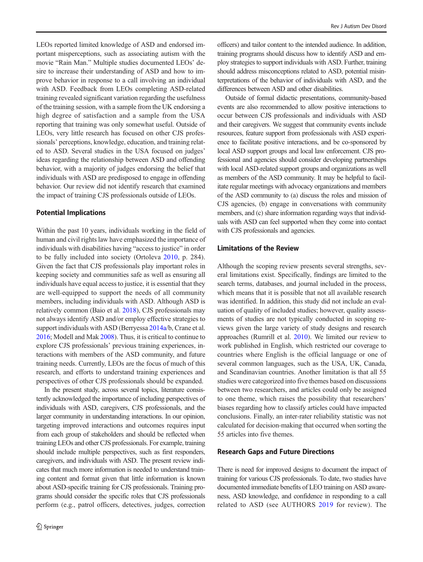LEOs reported limited knowledge of ASD and endorsed important misperceptions, such as associating autism with the movie "Rain Man." Multiple studies documented LEOs' desire to increase their understanding of ASD and how to improve behavior in response to a call involving an individual with ASD. Feedback from LEOs completing ASD-related training revealed significant variation regarding the usefulness of the training session, with a sample from the UK endorsing a high degree of satisfaction and a sample from the USA reporting that training was only somewhat useful. Outside of LEOs, very little research has focused on other CJS professionals' perceptions, knowledge, education, and training related to ASD. Several studies in the USA focused on judges' ideas regarding the relationship between ASD and offending behavior, with a majority of judges endorsing the belief that individuals with ASD are predisposed to engage in offending behavior. Our review did not identify research that examined the impact of training CJS professionals outside of LEOs.

#### Potential Implications

Within the past 10 years, individuals working in the field of human and civil rights law have emphasized the importance of individuals with disabilities having "access to justice" in order to be fully included into society (Ortoleva [2010](#page-27-0), p. 284). Given the fact that CJS professionals play important roles in keeping society and communities safe as well as ensuring all individuals have equal access to justice, it is essential that they are well-equipped to support the needs of all community members, including individuals with ASD. Although ASD is relatively common (Baio et al. [2018](#page-25-0)), CJS professionals may not always identify ASD and/or employ effective strategies to support individuals with ASD (Berryessa [2014a](#page-25-0)/b, Crane et al. [2016;](#page-25-0) Modell and Mak [2008\)](#page-27-0). Thus, it is critical to continue to explore CJS professionals' previous training experiences, interactions with members of the ASD community, and future training needs. Currently, LEOs are the focus of much of this research, and efforts to understand training experiences and perspectives of other CJS professionals should be expanded.

In the present study, across several topics, literature consistently acknowledged the importance of including perspectives of individuals with ASD, caregivers, CJS professionals, and the larger community in understanding interactions. In our opinion, targeting improved interactions and outcomes requires input from each group of stakeholders and should be reflected when training LEOs and other CJS professionals. For example, training should include multiple perspectives, such as first responders, caregivers, and individuals with ASD. The present review indicates that much more information is needed to understand training content and format given that little information is known about ASD-specific training for CJS professionals. Training programs should consider the specific roles that CJS professionals perform (e.g., patrol officers, detectives, judges, correction

officers) and tailor content to the intended audience. In addition, training programs should discuss how to identify ASD and employ strategies to support individuals with ASD. Further, training should address misconceptions related to ASD, potential misinterpretations of the behavior of individuals with ASD, and the differences between ASD and other disabilities.

Outside of formal didactic presentations, community-based events are also recommended to allow positive interactions to occur between CJS professionals and individuals with ASD and their caregivers. We suggest that community events include resources, feature support from professionals with ASD experience to facilitate positive interactions, and be co-sponsored by local ASD support groups and local law enforcement. CJS professional and agencies should consider developing partnerships with local ASD-related support groups and organizations as well as members of the ASD community. It may be helpful to facilitate regular meetings with advocacy organizations and members of the ASD community to (a) discuss the roles and mission of CJS agencies, (b) engage in conversations with community members, and (c) share information regarding ways that individuals with ASD can feel supported when they come into contact with CJS professionals and agencies.

#### Limitations of the Review

Although the scoping review presents several strengths, several limitations exist. Specifically, findings are limited to the search terms, databases, and journal included in the process, which means that it is possible that not all available research was identified. In addition, this study did not include an evaluation of quality of included studies; however, quality assessments of studies are not typically conducted in scoping reviews given the large variety of study designs and research approaches (Rumrill et al. [2010](#page-27-0)). We limited our review to work published in English, which restricted our coverage to countries where English is the official language or one of several common languages, such as the USA, UK, Canada, and Scandinavian countries. Another limitation is that all 55 studies were categorized into five themes based on discussions between two researchers, and articles could only be assigned to one theme, which raises the possibility that researchers' biases regarding how to classify articles could have impacted conclusions. Finally, an inter-rater reliability statistic was not calculated for decision-making that occurred when sorting the 55 articles into five themes.

#### Research Gaps and Future Directions

There is need for improved designs to document the impact of training for various CJS professionals. To date, two studies have documented immediate benefits of LEO training on ASD awareness, ASD knowledge, and confidence in responding to a call related to ASD (see AUTHORS [2019](#page-25-0) for review). The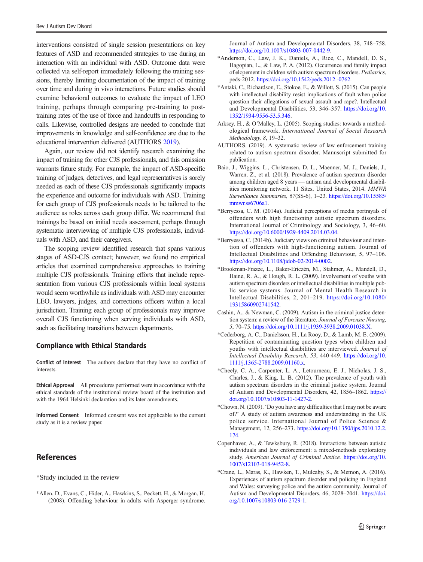<span id="page-25-0"></span>interventions consisted of single session presentations on key features of ASD and recommended strategies to use during an interaction with an individual with ASD. Outcome data were collected via self-report immediately following the training sessions, thereby limiting documentation of the impact of training over time and during in vivo interactions. Future studies should examine behavioral outcomes to evaluate the impact of LEO training, perhaps through comparing pre-training to posttraining rates of the use of force and handcuffs in responding to calls. Likewise, controlled designs are needed to conclude that improvements in knowledge and self-confidence are due to the educational intervention delivered (AUTHORS 2019).

Again, our review did not identify research examining the impact of training for other CJS professionals, and this omission warrants future study. For example, the impact of ASD-specific training of judges, detectives, and legal representatives is sorely needed as each of these CJS professionals significantly impacts the experience and outcome for individuals with ASD. Training for each group of CJS professionals needs to be tailored to the audience as roles across each group differ. We recommend that trainings be based on initial needs assessment, perhaps through systematic interviewing of multiple CJS professionals, individuals with ASD, and their caregivers.

The scoping review identified research that spans various stages of ASD-CJS contact; however, we found no empirical articles that examined comprehensive approaches to training multiple CJS professionals. Training efforts that include representation from various CJS professionals within local systems would seem worthwhile as individuals with ASD may encounter LEO, lawyers, judges, and corrections officers within a local jurisdiction. Training each group of professionals may improve overall CJS functioning when serving individuals with ASD, such as facilitating transitions between departments.

#### Compliance with Ethical Standards

Conflict of Interest The authors declare that they have no conflict of interests.

Ethical Approval All procedures performed were in accordance with the ethical standards of the institutional review board of the institution and with the 1964 Helsinki declaration and its later amendments.

Informed Consent Informed consent was not applicable to the current study as it is a review paper.

#### References

- \*Study included in the review
- \*Allen, D., Evans, C., Hider, A., Hawkins, S., Peckett, H., & Morgan, H. (2008). Offending behaviour in adults with Asperger syndrome.

Journal of Autism and Developmental Disorders, 38, 748–758. [https://doi.org/10.1007/s10803-007-0442-9.](https://doi.org/10.1007/s10803-007-0442-9)

- \*Anderson, C., Law, J. K., Daniels, A., Rice, C., Mandell, D. S., Hagopian, L., & Law, P. A. (2012). Occurrence and family impact of elopement in children with autism spectrum disorders. Pediatrics, peds-2012. <https://doi.org/10.1542/peds.2012.-0762>.
- \*Antaki, C., Richardson, E., Stokoe, E., & Willott, S. (2015). Can people with intellectual disability resist implications of fault when police question their allegations of sexual assault and rape?. Intellectual and Developmental Disabilities, 53, 346–357. [https://doi.org/10.](https://doi.org/10.1352/1934-9556-53.5.346) [1352/1934-9556-53.5.346](https://doi.org/10.1352/1934-9556-53.5.346).
- Arksey, H., & O'Malley, L. (2005). Scoping studies: towards a methodological framework. International Journal of Social Research Methodology, 8, 19–32.
- AUTHORS. (2019). A systematic review of law enforcement training related to autism spectrum disorder. Manuscript submitted for publication.
- Baio, J., Wiggins, L., Christensen, D. L., Maenner, M. J., Daniels, J., Warren, Z., et al. (2018). Prevalence of autism spectrum disorder among children aged 8 years — autism and developmental disabilities monitoring network, 11 Sites, United States, 2014. MMWR Surveillance Summaries, 67(SS-6), 1-23. [https://doi.org/10.15585/](https://doi.org/10.15585/mmwr.ss6706a1) [mmwr.ss6706a1.](https://doi.org/10.15585/mmwr.ss6706a1)
- \*Berryessa, C. M. (2014a). Judicial perceptions of media portrayals of offenders with high functioning autistic spectrum disorders. International Journal of Criminology and Sociology, 3, 46–60. [https://doi.org/10.6000/1929-4409.2014.03.04.](https://doi.org/10.6000/1929-4409.2014.03.04)
- \*Berryessa, C. (2014b). Judiciary views on criminal behaviour and intention of offenders with high-functioning autism. Journal of Intellectual Disabilities and Offending Behaviour, 5, 97–106. [https://doi.org/10.1108/jidob-02-2014-0002.](https://doi.org/10.1108/jidob-02-2014-0002)
- \*Brookman-Frazee, L., Baker-Ericzén, M., Stahmer, A., Mandell, D., Haine, R. A., & Hough, R. L. (2009). Involvement of youths with autism spectrum disorders or intellectual disabilities in multiple public service systems. Journal of Mental Health Research in Intellectual Disabilities, 2, 201–219. [https://doi.org/10.1080/](https://doi.org/10.1080/19315860902741542) [19315860902741542](https://doi.org/10.1080/19315860902741542).
- Cashin, A., & Newman, C. (2009). Autism in the criminal justice detention system: a review of the literature. Journal of Forensic Nursing, 5, 70–75. [https://doi.org/10.1111/j.1939-3938.2009.01038.X.](https://doi.org/10.1111/j.1939-3938.2009.01038.X)
- \*Cederborg, A. C., Danielsson, H., La Rooy, D., & Lamb, M. E. (2009). Repetition of contaminating question types when children and youths with intellectual disabilities are interviewed. Journal of Intellectual Disability Research, 53, 440-449. [https://doi.org/10.](https://doi.org/10.1111/j.1365-2788.2009.01160.x) [1111/j.1365-2788.2009.01160.x](https://doi.org/10.1111/j.1365-2788.2009.01160.x).
- \*Cheely, C. A., Carpenter, L. A., Letourneau, E. J., Nicholas, J. S., Charles, J., & King, L. B. (2012). The prevalence of youth with autism spectrum disorders in the criminal justice system. Journal of Autism and Developmental Disorders, 42, 1856–1862. [https://](https://doi.org/10.1007/s10803-11-1427-2) [doi.org/10.1007/s10803-11-1427-2](https://doi.org/10.1007/s10803-11-1427-2).
- \*Chown, N. (2009). 'Do you have any difficulties that I may not be aware of?' A study of autism awareness and understanding in the UK police service. International Journal of Police Science & Management, 12, 256–273. [https://doi.org/10.1350/ijps.2010.12.2.](https://doi.org/10.1350/ijps.2010.12.2.174) [174.](https://doi.org/10.1350/ijps.2010.12.2.174)
- Copenhaver, A., & Tewksbury, R. (2018). Interactions between autistic individuals and law enforcement: a mixed-methods exploratory study. American Journal of Criminal Justice. [https://doi.org/10.](https://doi.org/10.1007/s12103-018-9452-8) [1007/s12103-018-9452-8.](https://doi.org/10.1007/s12103-018-9452-8)
- \*Crane, L., Maras, K., Hawken, T., Mulcahy, S., & Memon, A. (2016). Experiences of autism spectrum disorder and policing in England and Wales: surveying police and the autism community. Journal of Autism and Developmental Disorders, 46, 2028–2041. [https://doi.](https://doi.org/10.1007/s10803-016-2729-1) [org/10.1007/s10803-016-2729-1.](https://doi.org/10.1007/s10803-016-2729-1)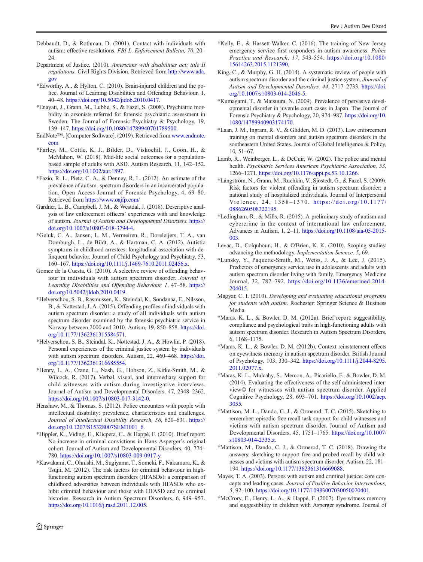- <span id="page-26-0"></span>Debbaudt, D., & Rothman, D. (2001). Contact with individuals with autism: effective resolutions. FBI L. Enforcement Bulletin, 70, 20– 24.
- Department of Justice. (2010). Americans with disabilities act: title II regulations. Civil Rights Division. Retrieved from http://www.ada. gov
- \*Edworthy, A., & Hylton, C. (2010). Brain-injured children and the police. Journal of Learning Disabilities and Offending Behaviour, 1, 40–48. [https://doi.org/10.5042/jidob.2010.0417.](https://doi.org/10.5042/jidob.2010.0417)
- \*Enayati, J., Grann, M., Lubbe, S., & Fazel, S. (2008). Psychiatric morbidity in arsonists referred for forensic psychiatric assessment in Sweden. The Journal of Forensic Psychiatry & Psychology, 19, 139–147. <https://doi.org/10.1080/14789940701789500>.
- EndNote™. [Computer Software]. (2019). Retrieved from www.endnote. com
- \*Farley, M., Cottle, K. J., Bilder, D., Viskochil, J., Coon, H., & McMahon, W. (2018). Mid-life social outcomes for a populationbased sample of adults with ASD. Autism Research, 11, 142–152. <https://doi.org/10.1002/aur.1897>.
- \*Fazio, R. L., Pietz, C. A., & Denney, R. L. (2012). An estimate of the prevalence of autism- spectrum disorders in an incarcerated population. Open Access Journal of Forensic Psychology, 4, 69–80. Retrieved from https://www.oajfp.com/
- Gardner, L. B., Campbell, J. M., & Westdal, J. (2018). Descriptive analysis of law enforcement officers' experiences with and knowledge of autism. Journal of Autism and Developmental Disorders. [https://](https://doi.org/10.1007/s10803-018-3794-4) [doi.org/10.1007/s10803-018-3794-4](https://doi.org/10.1007/s10803-018-3794-4).
- \*Geluk, C. A., Jansen, L. M., Vermeiren, R., Doreleijers, T. A., van Domburgh, L., de Bildt, A., & Hartman, C. A. (2012). Autistic symptoms in childhood arrestees: longitudinal association with delinquent behavior. Journal of Child Psychology and Psychiatry, 53, 160–167. <https://doi.org/10.1111/j.1469-7610.2011.02456.x>.
- Gomez de la Cuesta, G. (2010). A selective review of offending behaviour in individuals with autism spectrum disorder. Journal of Learning Disabilities and Offending Behaviour, 1, 47-58. [https://](https://doi.org/10.5042/jldob.2010.0419) [doi.org/10.5042/jldob.2010.0419](https://doi.org/10.5042/jldob.2010.0419).
- \*Helverschou, S. B., Rasmussen, K., Steindal, K., Søndanaa, E., Nilsson, B., & Nøttestad, J. A. (2015). Offending profiles of individuals with autism spectrum disorder: a study of all individuals with autism spectrum disorder examined by the forensic psychiatric service in Norway between 2000 and 2010. Autism, 19, 850–858. [https://doi.](https://doi.org/10.1177/1362361315584571) [org/10.1177/1362361315584571.](https://doi.org/10.1177/1362361315584571)
- \*Helverschou, S. B., Steindal, K., Nøttestad, J. A., & Howlin, P. (2018). Personal experiences of the criminal justice system by individuals with autism spectrum disorders. Autism, 22, 460–468. [https://doi.](https://doi.org/10.1177/1362361316685554) [org/10.1177/1362361316685554.](https://doi.org/10.1177/1362361316685554)
- \*Henry, L. A., Crane, L., Nash, G., Hobson, Z., Kirke-Smith, M., & Wilcock, R. (2017). Verbal, visual, and intermediary support for child witnesses with autism during investigative interviews. Journal of Autism and Developmental Disorders, 47, 2348–2362. [https://doi.org/10.1007/s10803-017-3142-0.](https://doi.org/10.1007/s10803-017-3142-0)
- Henshaw, M., & Thomas, S. (2012). Police encounters with people with intellectual disability: prevalence, characteristics and challenges. Journal of Intellectual Disability Research, 56, 620–631. [https://](https://doi.org/10.1207/S15328007SEM1001_6) [doi.org/10.1207/S15328007SEM1001\\_6.](https://doi.org/10.1207/S15328007SEM1001_6)
- \*Hippler, K., Viding, E., Klicpera, C., & Happé, F. (2010). Brief report: No increase in criminal convictions in Hans Asperger's original cohort. Journal of Autism and Developmental Disorders, 40, 774– 780. [https://doi.org/10.1007/s10803-009-0917-y.](https://doi.org/10.1007/s10803-009-0917-y)
- \*Kawakami, C., Ohnishi, M., Sugiyama, T., Someki, F., Nakamura, K., & Tsujii, M. (2012). The risk factors for criminal behaviour in highfunctioning autism spectrum disorders (HFASDs): a comparison of childhood adversities between individuals with HFASDs who exhibit criminal behaviour and those with HFASD and no criminal histories. Research in Autism Spectrum Disorders, 6, 949–957. [https://doi.org/10.1016/j.rasd.2011.12.005.](https://doi.org/10.1016/j.rasd.2011.12.005)
- \*Kelly, E., & Hassett-Walker, C. (2016). The training of New Jersey emergency service first responders in autism awareness. Police Practice and Research, 17, 543-554. [https://doi.org/10.1080/](https://doi.org/10.1080/15614263.2015.1121390) [15614263.2015.1121390](https://doi.org/10.1080/15614263.2015.1121390).
- King, C., & Murphy, G. H. (2014). A systematic review of people with autism spectrum disorder and the criminal justice system. Journal of Autism and Developmental Disorders, 44, 2717–2733. [https://doi.](https://doi.org/10.1007/s10803-014-2046-5) [org/10.1007/s10803-014-2046-5.](https://doi.org/10.1007/s10803-014-2046-5)
- \*Kumagami, T., & Matsuura, N. (2009). Prevalence of pervasive developmental disorder in juvenile court cases in Japan. The Journal of Forensic Psychiatry & Psychology, 20, 974–987. [https://doi.org/10.](https://doi.org/10.1080/14789940903174170) [1080/14789940903174170](https://doi.org/10.1080/14789940903174170).
- \*Laan, J. M., Ingram, R. V., & Glidden, M. D. (2013). Law enforcement training on mental disorders and autism spectrum disorders in the southeastern United States. Journal of Global Intelligence & Policy, 10, 51–67.
- Lamb, R., Weinberger, L., & DeCuir, W. (2002). The police and mental health. Psychiatric Services American Psychiatric Association, 53, 1266–1271. [https://doi.org/10.1176/appi.ps.53.10.1266.](https://doi.org/10.1176/appi.ps.53.10.1266)
- \*Långström, N., Grann, M., Ruchkin, V., Sjöstedt, G., & Fazel, S. (2009). Risk factors for violent offending in autism spectrum disorder: a national study of hospitalized individuals. Journal of Interpersonal Violence, 24, 1358–1370. [https://doi.org/10.1177/](https://doi.org/10.1177/0886260508322195) [0886260508322195](https://doi.org/10.1177/0886260508322195).
- \*Ledingham, R., & Mills, R. (2015). A preliminary study of autism and cybercrime in the context of international law enforcement. Advances in Autism, 1, 2–11. [https://doi.org/10.1108/aia-05-2015-](https://doi.org/10.1108/aia-05-2015-003) [003.](https://doi.org/10.1108/aia-05-2015-003)
- Levac, D., Colquhoun, H., & O'Brien, K. K. (2010). Scoping studies: advancing the methodology. Implementation Science, 5, 69.
- \*Lunsky, Y., Paquette-Smith, M., Weiss, J. A., & Lee, J. (2015). Predictors of emergency service use in adolescents and adults with autism spectrum disorder living with family. Emergency Medicine Journal, 32, 787–792. [https://doi.org/10.1136/emermed-2014-](https://doi.org/10.1136/emermed-2014-204015) [204015.](https://doi.org/10.1136/emermed-2014-204015)
- Magyar, C. I. (2010). Developing and evaluating educational programs for students with autism. Rochester: Springer Science & Business Media.
- \*Maras, K. L., & Bowler, D. M. (2012a). Brief report: suggestibility, compliance and psychological traits in high-functioning adults with autism spectrum disorder. Research in Autism Spectrum Disorders, 6, 1168–1175.
- \*Maras, K. L., & Bowler, D. M. (2012b). Context reinstatement effects on eyewitness memory in autism spectrum disorder. British Journal of Psychology, 103, 330–342. [https://doi.org/10.1111/j.2044-8295.](https://doi.org/10.1111/j.2044-8295.2011.02077.x) [2011.02077.x](https://doi.org/10.1111/j.2044-8295.2011.02077.x).
- \*Maras, K. L., Mulcahy, S., Memon, A., Picariello, F., & Bowler, D. M. (2014). Evaluating the effectiveness of the self-administered interview© for witnesses with autism spectrum disorder. Applied Cognitive Psychology, 28, 693–701. [https://doi.org/10.1002/acp.](https://doi.org/10.1002/acp.3055) [3055.](https://doi.org/10.1002/acp.3055)
- \*Mattison, M. L., Dando, C. J., & Ormerod, T. C. (2015). Sketching to remember: episodic free recall task support for child witnesses and victims with autism spectrum disorder. Journal of Autism and Developmental Disorders, 45, 1751–1765. [https://doi.org/10.1007/](https://doi.org/10.1007/s10803-014-2335.z) [s10803-014-2335.z.](https://doi.org/10.1007/s10803-014-2335.z)
- \*Mattison, M., Dando, C. J., & Ormerod, T. C. (2018). Drawing the answers: sketching to support free and probed recall by child witnesses and victims with autism spectrum disorder. Autism, 22, 181– 194. [https://doi.org/10.1177/1362361316669088.](https://doi.org/10.1177/1362361316669088)
- Mayes, T. A. (2003). Persons with autism and criminal justice: core concepts and leading cases. Journal of Positive Behavior Interventions, 5, 92–100. [https://doi.org/10.1177/10983007030050020401.](https://doi.org/10.1177/10983007030050020401)
- \*McCrory, E., Henry, L. A., & Happé, F. (2007). Eye-witness memory and suggestibility in children with Asperger syndrome. Journal of